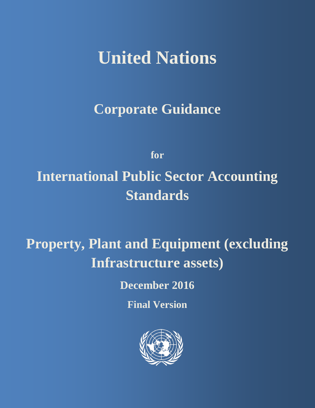# **United Nations**

**Corporate Guidance**

**for International Public Sector Accounting Standards**

**Property, Plant and Equipment (excluding Infrastructure assets)**

**December 2016**

**Final Version**

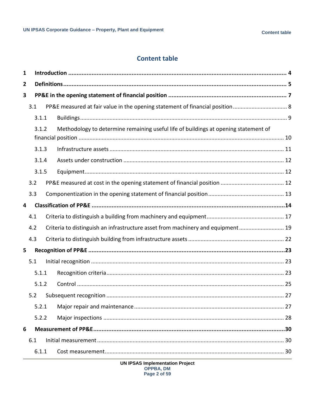### **Content table**

| 1 |     |       |  |                                                                                     |  |  |  |  |
|---|-----|-------|--|-------------------------------------------------------------------------------------|--|--|--|--|
| 2 |     |       |  |                                                                                     |  |  |  |  |
| 3 |     |       |  |                                                                                     |  |  |  |  |
|   | 3.1 |       |  |                                                                                     |  |  |  |  |
|   |     | 3.1.1 |  |                                                                                     |  |  |  |  |
|   |     | 3.1.2 |  | Methodology to determine remaining useful life of buildings at opening statement of |  |  |  |  |
|   |     | 3.1.3 |  |                                                                                     |  |  |  |  |
|   |     | 3.1.4 |  |                                                                                     |  |  |  |  |
|   |     | 3.1.5 |  |                                                                                     |  |  |  |  |
|   | 3.2 |       |  |                                                                                     |  |  |  |  |
|   | 3.3 |       |  |                                                                                     |  |  |  |  |
| 4 |     |       |  |                                                                                     |  |  |  |  |
|   | 4.1 |       |  |                                                                                     |  |  |  |  |
|   | 4.2 |       |  | Criteria to distinguish an infrastructure asset from machinery and equipment 19     |  |  |  |  |
|   | 4.3 |       |  |                                                                                     |  |  |  |  |
| 5 |     |       |  |                                                                                     |  |  |  |  |
|   | 5.1 |       |  |                                                                                     |  |  |  |  |
|   |     | 5.1.1 |  |                                                                                     |  |  |  |  |
|   |     | 5.1.2 |  |                                                                                     |  |  |  |  |
|   | 5.2 |       |  |                                                                                     |  |  |  |  |
|   |     | 5.2.1 |  |                                                                                     |  |  |  |  |
|   |     | 5.2.2 |  |                                                                                     |  |  |  |  |
| 6 |     |       |  |                                                                                     |  |  |  |  |
|   | 6.1 |       |  |                                                                                     |  |  |  |  |
|   |     | 6.1.1 |  |                                                                                     |  |  |  |  |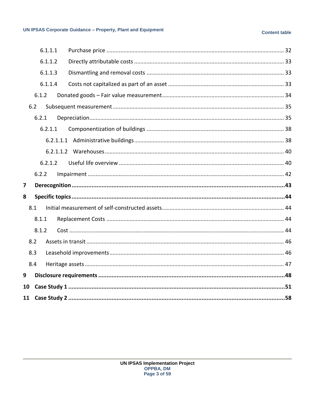#### **Content table**

|    |       | 6.1.1.1 |  |
|----|-------|---------|--|
|    |       | 6.1.1.2 |  |
|    |       | 6.1.1.3 |  |
|    |       | 6.1.1.4 |  |
|    | 6.1.2 |         |  |
|    | 6.2   |         |  |
|    | 6.2.1 |         |  |
|    |       | 6.2.1.1 |  |
|    |       |         |  |
|    |       |         |  |
|    |       | 6.2.1.2 |  |
|    | 6.2.2 |         |  |
| 7  |       |         |  |
| 8  |       |         |  |
|    | 8.1   |         |  |
|    | 8.1.1 |         |  |
|    | 8.1.2 |         |  |
|    | 8.2   |         |  |
|    | 8.3   |         |  |
|    | 8.4   |         |  |
| 9  |       |         |  |
| 10 |       |         |  |
| 11 |       |         |  |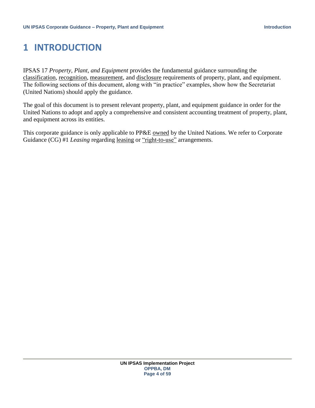### <span id="page-3-0"></span>**1 INTRODUCTION**

IPSAS 17 *Property, Plant, and Equipment* provides the fundamental guidance surrounding the classification, recognition, measurement, and disclosure requirements of property, plant, and equipment. The following sections of this document, along with "in practice" examples, show how the Secretariat (United Nations) should apply the guidance.

The goal of this document is to present relevant property, plant, and equipment guidance in order for the United Nations to adopt and apply a comprehensive and consistent accounting treatment of property, plant, and equipment across its entities.

This corporate guidance is only applicable to PP&E owned by the United Nations. We refer to Corporate Guidance (CG) #1 *Leasing* regarding <u>leasing</u> or "right-to-use" arrangements.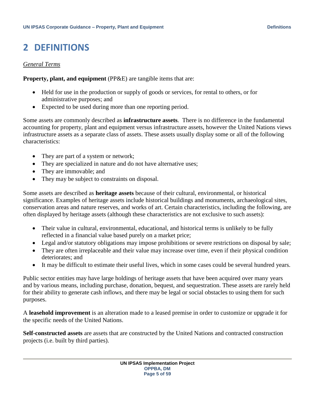### <span id="page-4-0"></span>**2 DEFINITIONS**

#### *General Terms*

**Property, plant, and equipment** (PP&E) are tangible items that are:

- Held for use in the production or supply of goods or services, for rental to others, or for administrative purposes; and
- Expected to be used during more than one reporting period.

Some assets are commonly described as **infrastructure assets**. There is no difference in the fundamental accounting for property, plant and equipment versus infrastructure assets, however the United Nations views infrastructure assets as a separate class of assets. These assets usually display some or all of the following characteristics:

- They are part of a system or network;
- They are specialized in nature and do not have alternative uses;
- They are immovable; and
- They may be subject to constraints on disposal.

Some assets are described as **heritage assets** because of their cultural, environmental, or historical significance. Examples of heritage assets include historical buildings and monuments, archaeological sites, conservation areas and nature reserves, and works of art. Certain characteristics, including the following, are often displayed by heritage assets (although these characteristics are not exclusive to such assets):

- Their value in cultural, environmental, educational, and historical terms is unlikely to be fully reflected in a financial value based purely on a market price;
- Legal and/or statutory obligations may impose prohibitions or severe restrictions on disposal by sale;
- They are often irreplaceable and their value may increase over time, even if their physical condition deteriorates; and
- It may be difficult to estimate their useful lives, which in some cases could be several hundred years.

Public sector entities may have large holdings of heritage assets that have been acquired over many years and by various means, including purchase, donation, bequest, and sequestration. These assets are rarely held for their ability to generate cash inflows, and there may be legal or social obstacles to using them for such purposes.

A **leasehold improvement** is an alteration made to a leased premise in order to customize or upgrade it for the specific needs of the United Nations.

**Self-constructed assets** are assets that are constructed by the United Nations and contracted construction projects (i.e. built by third parties).

> **UN IPSAS Implementation Project OPPBA, DM Page 5 of 59**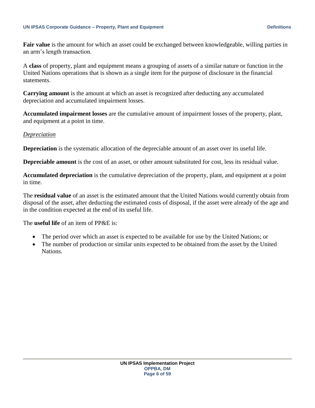**Fair value** is the amount for which an asset could be exchanged between knowledgeable, willing parties in an arm's length transaction.

A **class** of property, plant and equipment means a grouping of assets of a similar nature or function in the United Nations operations that is shown as a single item for the purpose of disclosure in the financial statements.

**Carrying amount** is the amount at which an asset is recognized after deducting any accumulated depreciation and accumulated impairment losses.

**Accumulated impairment losses** are the cumulative amount of impairment losses of the property, plant, and equipment at a point in time.

### *Depreciation*

**Depreciation** is the systematic allocation of the depreciable amount of an asset over its useful life.

**Depreciable amount** is the cost of an asset, or other amount substituted for cost, less its residual value.

**Accumulated depreciation** is the cumulative depreciation of the property, plant, and equipment at a point in time.

The **residual value** of an asset is the estimated amount that the United Nations would currently obtain from disposal of the asset, after deducting the estimated costs of disposal, if the asset were already of the age and in the condition expected at the end of its useful life.

The **useful life** of an item of PP&E is:

- The period over which an asset is expected to be available for use by the United Nations; or
- The number of production or similar units expected to be obtained from the asset by the United Nations.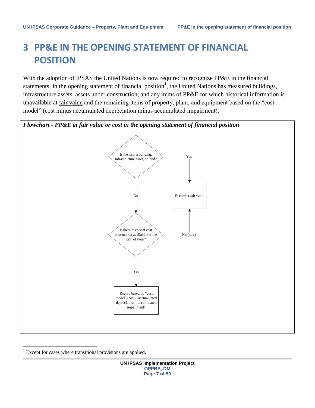### <span id="page-6-0"></span>**3 PP&E IN THE OPENING STATEMENT OF FINANCIAL POSITION**

With the adoption of IPSAS the United Nations is now required to recognize PP&E in the financial statements. In the opening statement of financial position<sup>1</sup>, the United Nations has measured buildings, infrastructure assets, assets under construction, and any items of PP&E for which historical information is unavailable at fair value and the remaining items of property, plant, and equipment based on the "cost model" (cost minus accumulated depreciation minus accumulated impairment).



Except for cases where transitional provisions are applied.

 $\overline{\phantom{a}}$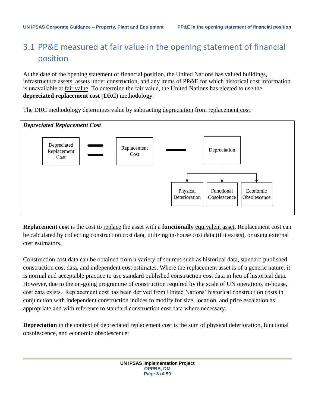### <span id="page-7-0"></span>3.1 PP&E measured at fair value in the opening statement of financial position

At the date of the opening statement of financial position, the United Nations has valued buildings, infrastructure assets, assets under construction, and any items of PP&E for which historical cost information is unavailable at fair value. To determine the fair value, the United Nations has elected to use the **depreciated replacement cost** (DRC) methodology.

The DRC methodology determines value by subtracting depreciation from replacement cost:



**Replacement cost** is the cost to replace the asset with a **functionally** equivalent asset. Replacement cost can be calculated by collecting construction cost data, utilizing in-house cost data (if it exists), or using external cost estimators.

Construction cost data can be obtained from a variety of sources such as historical data, standard published construction cost data, and independent cost estimates. Where the replacement asset is of a generic nature, it is normal and acceptable practice to use standard published construction cost data in lieu of historical data. However, due to the on-going programme of construction required by the scale of UN operations in-house, cost data exists. Replacement cost has been derived from United Nations' historical construction costs in conjunction with independent construction indices to modify for size, location, and price escalation as appropriate and with reference to standard construction cost data where necessary.

**Depreciation** in the context of depreciated replacement cost is the sum of physical deterioration, functional obsolescence, and economic obsolescence: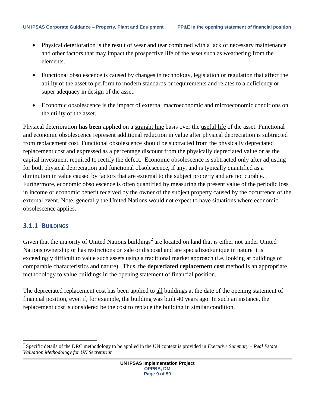- Physical deterioration is the result of wear and tear combined with a lack of necessary maintenance and other factors that may impact the prospective life of the asset such as weathering from the elements.
- Functional obsolescence is caused by changes in technology, legislation or regulation that affect the ability of the asset to perform to modern standards or requirements and relates to a deficiency or super adequacy in design of the asset.
- Economic obsolescence is the impact of external macroeconomic and microeconomic conditions on the utility of the asset.

Physical deterioration **has been** applied on a straight line basis over the useful life of the asset. Functional and economic obsolescence represent additional reduction in value after physical depreciation is subtracted from replacement cost. Functional obsolescence should be subtracted from the physically depreciated replacement cost and expressed as a percentage discount from the physically depreciated value or as the capital investment required to rectify the defect. Economic obsolescence is subtracted only after adjusting for both physical depreciation and functional obsolescence, if any, and is typically quantified as a diminution in value caused by factors that are external to the subject property and are not curable. Furthermore, economic obsolescence is often quantified by measuring the present value of the periodic loss in income or economic benefit received by the owner of the subject property caused by the occurrence of the external event. Note, generally the United Nations would not expect to have situations where economic obsolescence applies.

### <span id="page-8-0"></span>**3.1.1 BUILDINGS**

l

Given that the majority of United Nations buildings<sup>2</sup> are located on land that is either not under United Nations ownership or has restrictions on sale or disposal and are specialized/unique in nature it is exceedingly difficult to value such assets using a traditional market approach (i.e. looking at buildings of comparable characteristics and nature). Thus, the **depreciated replacement cost** method is an appropriate methodology to value buildings in the opening statement of financial position.

The depreciated replacement cost has been applied to all buildings at the date of the opening statement of financial position, even if, for example, the building was built 40 years ago. In such an instance, the replacement cost is considered be the cost to replace the building in similar condition.

<sup>2</sup> Specific details of the DRC methodology to be applied in the UN context is provided in *Executive Summary – Real Estate Valuation Methodology for UN Secretariat*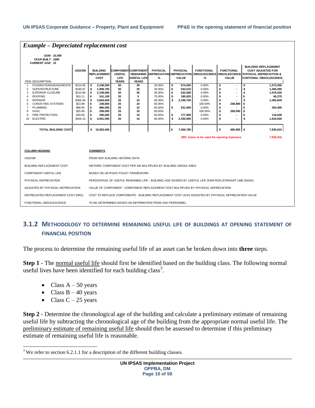| <b>Example – Depreciated replacement cost</b>                                                                                                                                                                                                                                    |                                                                                                                 |                                                                                                                                                                                  |                                                          |                                                                                      |                                                                                                  |                                              |                                                                                                     |                                                                                            |                                                                                                  |                                                                                                                                             |                                                                                               |
|----------------------------------------------------------------------------------------------------------------------------------------------------------------------------------------------------------------------------------------------------------------------------------|-----------------------------------------------------------------------------------------------------------------|----------------------------------------------------------------------------------------------------------------------------------------------------------------------------------|----------------------------------------------------------|--------------------------------------------------------------------------------------|--------------------------------------------------------------------------------------------------|----------------------------------------------|-----------------------------------------------------------------------------------------------------|--------------------------------------------------------------------------------------------|--------------------------------------------------------------------------------------------------|---------------------------------------------------------------------------------------------------------------------------------------------|-----------------------------------------------------------------------------------------------|
| GSM: 10,000<br>YEAR BUILT: 1999<br><b>CURRENT AGE: 15</b>                                                                                                                                                                                                                        |                                                                                                                 |                                                                                                                                                                                  |                                                          |                                                                                      |                                                                                                  |                                              |                                                                                                     |                                                                                            |                                                                                                  |                                                                                                                                             |                                                                                               |
| <b>ITEM DESCRIPTION</b>                                                                                                                                                                                                                                                          | USD/SM                                                                                                          | <b>BUILDING</b><br><b>REPLACEMENT</b><br>COST                                                                                                                                    | <b>USEFUL</b><br><b>LIFE</b><br><b>YEARS</b>             | <b>COMPONENT COMPONENT</b><br><b>REMAINING</b><br><b>USEFUL LIFE</b><br><b>YEARS</b> | <b>PHYSICAL</b><br><b>DEPRECIATION</b><br>%                                                      |                                              | <b>PHYSICAL</b><br><b>DEPRECIATION</b><br><b>VALUE</b>                                              | <b>FUNCTIONAL</b><br><b>OBSOLESCENCE</b><br>$\frac{9}{6}$                                  | <b>FUNCTIONAL</b><br><b>VALUE</b>                                                                | <b>BUILDING REPLACEMENT</b><br><b>COST ADJUSTED FOR</b><br><b>OBSOLESCENCE PHYSICAL DEPRECIATION &amp;</b><br><b>FUNTIONAL OBSOLESCENCE</b> |                                                                                               |
| FOUNDATIONS/BASEMENTS<br><b>SUPERSTRUCTURE</b><br>$\overline{2}$<br><b>EXTERIOR CLOSURE</b><br>3<br><b>ROOFING</b><br><b>INTERIOR</b><br>5<br><b>CONVEYING SYSTEMS</b><br>6<br><b>PLUMBING</b><br><b>HVAC</b><br>8<br>FIRE PROTECTION<br>9<br><b>ELECTRIC</b><br>10 <sup>1</sup> | \$224.85<br>\$180.87<br>\$210.86<br>\$24.11<br>\$366.46<br>\$23.88<br>\$88.60<br>\$25.80<br>\$29.66<br>\$405.15 | 2.248.500<br>\$<br>1,808,700<br>\$<br>\$<br>2,108,600<br>\$<br>241,100<br>\$<br>3,664,600<br>\$<br>238,800<br>\$<br>886.000<br>\$<br>258,000<br>\$<br>296,600<br>\$<br>4,051,500 | 50<br>50<br>50<br>20<br>25<br>25<br>25<br>25<br>25<br>25 | 35<br>35<br>35<br>5<br>10<br>10<br>10<br>10<br>10<br>10                              | 30.00%<br>30.00%<br>30.00%<br>75.00%<br>60.00%<br>60.00%<br>60.00%<br>60.00%<br>60.00%<br>60.00% | \$<br>\$<br>\$<br>\$<br>\$<br>\$<br>\$<br>\$ | 674.550<br>542,610<br>632,580<br>180,825<br>2,198,760<br>531.600<br>177,960<br>2,430,900            | 0.00%<br>0.00%<br>0.00%<br>0.00%<br>0.00%<br>100.00%<br>0.00%<br>100.00%<br>0.00%<br>0.00% | \$<br>$\blacksquare$<br>\$<br>\$<br>\$<br>\$<br>\$<br>238,800<br>\$<br>\$<br>258,000<br>\$<br>\$ | \$<br>\$<br>\$<br>\$<br>\$<br>l \$<br>\$                                                                                                    | 1,573,950<br>1,266,090<br>1,476,020<br>60,275<br>1,465,840<br>354,400<br>118,640<br>1,620,600 |
| <b>TOTAL BUILDING COST</b>                                                                                                                                                                                                                                                       |                                                                                                                 | s.<br>15,802,400                                                                                                                                                                 |                                                          |                                                                                      |                                                                                                  | \$                                           | 7,369,785                                                                                           |                                                                                            | \$<br>496,800 \$                                                                                 |                                                                                                                                             | 7,935,815                                                                                     |
|                                                                                                                                                                                                                                                                                  |                                                                                                                 |                                                                                                                                                                                  |                                                          |                                                                                      |                                                                                                  |                                              |                                                                                                     | DRC Value to be used for opening balances                                                  |                                                                                                  |                                                                                                                                             | 7,935,815                                                                                     |
| <b>COLUMN HEADING</b>                                                                                                                                                                                                                                                            |                                                                                                                 | <b>COMMENTS</b>                                                                                                                                                                  |                                                          |                                                                                      |                                                                                                  |                                              |                                                                                                     |                                                                                            |                                                                                                  |                                                                                                                                             |                                                                                               |
| USD/SM                                                                                                                                                                                                                                                                           |                                                                                                                 | FROM NOF BUILDING HISTORIC DATA                                                                                                                                                  |                                                          |                                                                                      |                                                                                                  |                                              |                                                                                                     |                                                                                            |                                                                                                  |                                                                                                                                             |                                                                                               |
| <b>BUILDING REPLACEMENT COST</b>                                                                                                                                                                                                                                                 |                                                                                                                 | HISTORIC COMPONENT COST PER SM MULTIPLIED BY BUILDING GROSS AREA                                                                                                                 |                                                          |                                                                                      |                                                                                                  |                                              |                                                                                                     |                                                                                            |                                                                                                  |                                                                                                                                             |                                                                                               |
| <b>COMPONENT USEFUL LIFE</b>                                                                                                                                                                                                                                                     | BASED ON UN IPSAS POLICY FRAMEWORK                                                                              |                                                                                                                                                                                  |                                                          |                                                                                      |                                                                                                  |                                              |                                                                                                     |                                                                                            |                                                                                                  |                                                                                                                                             |                                                                                               |
| PHYSICAL DEPRECIATION                                                                                                                                                                                                                                                            | PERCENTAGE OF USEFUL REMAINING LIFE - BUILDING AGE DIVIDED BY USEFUL LIFE DURATION (STRAIGHT LINE BASIS)        |                                                                                                                                                                                  |                                                          |                                                                                      |                                                                                                  |                                              |                                                                                                     |                                                                                            |                                                                                                  |                                                                                                                                             |                                                                                               |
| ADJUSTED BY PHYSICAL DEPRECIATION                                                                                                                                                                                                                                                | VALUE OF COMPONENT - COMPONENT REPLACEMENT COST MULTIPLIED BY PHYSICAL DEPRECIATION                             |                                                                                                                                                                                  |                                                          |                                                                                      |                                                                                                  |                                              |                                                                                                     |                                                                                            |                                                                                                  |                                                                                                                                             |                                                                                               |
| DEPRECIATED REPLACEMENT COST (DRC)                                                                                                                                                                                                                                               |                                                                                                                 |                                                                                                                                                                                  |                                                          |                                                                                      |                                                                                                  |                                              | COST TO REPLACE COMPONENTS - BUILDING REPLACEMENT COST LESS ADJUSTED BY PHYSICAL DEPRECIATION VALUE |                                                                                            |                                                                                                  |                                                                                                                                             |                                                                                               |
| FUNCTIONAL OBSOLESCENCE                                                                                                                                                                                                                                                          |                                                                                                                 | TO BE DETERMINED BASED ON INFORMATION FROM OAH PERSONNEL                                                                                                                         |                                                          |                                                                                      |                                                                                                  |                                              |                                                                                                     |                                                                                            |                                                                                                  |                                                                                                                                             |                                                                                               |

### <span id="page-9-0"></span>**3.1.2 METHODOLOGY TO DETERMINE REMAINING USEFUL LIFE OF BUILDINGS AT OPENING STATEMENT OF FINANCIAL POSITION**

The process to determine the remaining useful life of an asset can be broken down into **three** steps.

**Step 1** - The normal useful life should first be identified based on the building class. The following normal useful lives have been identified for each building class<sup>3</sup>.

- Class  $A 50$  years
- Class  $B 40$  years
- Class  $C 25$  years

 $\overline{\phantom{a}}$ 

**Step 2** - Determine the chronological age of the building and calculate a preliminary estimate of remaining useful life by subtracting the chronological age of the building from the appropriate normal useful life. The preliminary estimate of remaining useful life should then be assessed to determine if this preliminary estimate of remaining useful life is reasonable.

 $3$  We refer to section 6.2.1.1 for a description of the different building classes.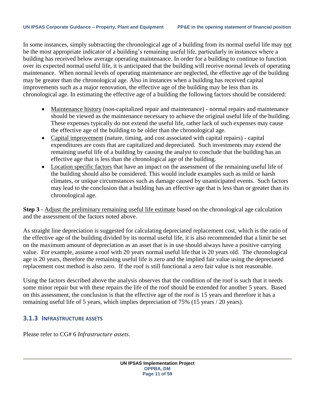In some instances, simply subtracting the chronological age of a building from its normal useful life may not be the most appropriate indicator of a building's remaining useful life, particularly in instances where a building has received below average operating maintenance. In order for a building to continue to function over its expected normal useful life, it is anticipated that the building will receive normal levels of operating maintenance. When normal levels of operating maintenance are neglected, the effective age of the building may be greater than the chronological age. Also in instances when a building has received capital improvements such as a major renovation, the effective age of the building may be less than its chronological age. In estimating the effective age of a building the following factors should be considered:

- Maintenance history (non-capitalized repair and maintenance) normal repairs and maintenance should be viewed as the maintenance necessary to achieve the original useful life of the building. These expenses typically do not extend the useful life, rather lack of such expenses may cause the effective age of the building to be older than the chronological age.
- Capital improvement (nature, timing, and cost associated with capital repairs) capital expenditures are costs that are capitalized and depreciated. Such investments may extend the remaining useful life of a building by causing the analyst to conclude that the building has an effective age that is less than the chronological age of the building.
- Location specific factors that have an impact on the assessment of the remaining useful life of the building should also be considered. This would include examples such as mild or harsh climates, or unique circumstances such as damage caused by unanticipated events. Such factors may lead to the conclusion that a building has an effective age that is less than or greater than its chronological age.

**Step 3** - Adjust the preliminary remaining useful life estimate based on the chronological age calculation and the assessment of the factors noted above.

As straight line depreciation is suggested for calculating depreciated replacement cost, which is the ratio of the effective age of the building divided by its normal useful life, it is also recommended that a limit be set on the maximum amount of depreciation as an asset that is in use should always have a positive carrying value. For example, assume a roof with 20 years normal useful life that is 20 years old. The chronological age is 20 years, therefore the remaining useful life is zero and the implied fair value using the depreciated replacement cost method is also zero. If the roof is still functional a zero fair value is not reasonable.

Using the factors described above the analysis observes that the condition of the roof is such that it needs some minor repair but with these repairs the life of the roof should be extended for another 5 years. Based on this assessment, the conclusion is that the effective age of the roof is 15 years and therefore it has a remaining useful life of 5 years, which implies depreciation of 75% (15 years / 20 years).

### <span id="page-10-0"></span>**3.1.3 INFRASTRUCTURE ASSETS**

Please refer to CG# 6 *Infrastructure assets*.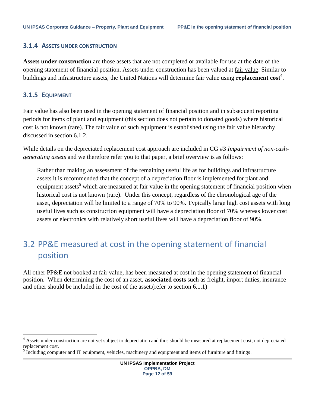#### <span id="page-11-0"></span>**3.1.4 ASSETS UNDER CONSTRUCTION**

**Assets under construction** are those assets that are not completed or available for use at the date of the opening statement of financial position. Assets under construction has been valued at fair value. Similar to buildings and infrastructure assets, the United Nations will determine fair value using **replacement cost**<sup>4</sup>.

#### <span id="page-11-1"></span>**3.1.5 EQUIPMENT**

 $\overline{\phantom{a}}$ 

Fair value has also been used in the opening statement of financial position and in subsequent reporting periods for items of plant and equipment (this section does not pertain to donated goods) where historical cost is not known (rare). The fair value of such equipment is established using the fair value hierarchy discussed in section 6.1.2.

While details on the depreciated replacement cost approach are included in CG #3 *Impairment of non-cashgenerating assets* and we therefore refer you to that paper, a brief overview is as follows:

Rather than making an assessment of the remaining useful life as for buildings and infrastructure assets it is recommended that the concept of a depreciation floor is implemented for plant and equipment assets<sup>5</sup> which are measured at fair value in the opening statement of financial position when historical cost is not known (rare). Under this concept, regardless of the chronological age of the asset, depreciation will be limited to a range of 70% to 90%. Typically large high cost assets with long useful lives such as construction equipment will have a depreciation floor of 70% whereas lower cost assets or electronics with relatively short useful lives will have a depreciation floor of 90%.

### <span id="page-11-2"></span>3.2 PP&E measured at cost in the opening statement of financial position

All other PP&E not booked at fair value, has been measured at cost in the opening statement of financial position. When determining the cost of an asset, **associated costs** such as freight, import duties, insurance and other should be included in the cost of the asset.(refer to section [6.1.1\)](#page-29-2)

<sup>&</sup>lt;sup>4</sup> Assets under construction are not yet subject to depreciation and thus should be measured at replacement cost, not depreciated replacement cost.

<sup>&</sup>lt;sup>5</sup> Including computer and IT equipment, vehicles, machinery and equipment and items of furniture and fittings.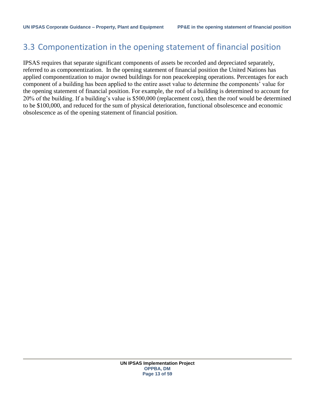### <span id="page-12-0"></span>3.3 Componentization in the opening statement of financial position

IPSAS requires that separate significant components of assets be recorded and depreciated separately, referred to as componentization. In the opening statement of financial position the United Nations has applied componentization to major owned buildings for non peacekeeping operations. Percentages for each component of a building has been applied to the entire asset value to determine the components' value for the opening statement of financial position. For example, the roof of a building is determined to account for 20% of the building. If a building's value is \$500,000 (replacement cost), then the roof would be determined to be \$100,000, and reduced for the sum of physical deterioration, functional obsolescence and economic obsolescence as of the opening statement of financial position.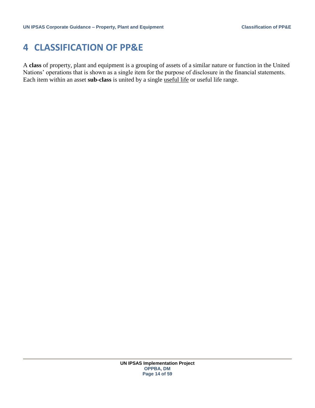### <span id="page-13-0"></span>**4 CLASSIFICATION OF PP&E**

A **class** of property, plant and equipment is a grouping of assets of a similar nature or function in the United Nations' operations that is shown as a single item for the purpose of disclosure in the financial statements. Each item within an asset **sub-class** is united by a single useful life or useful life range.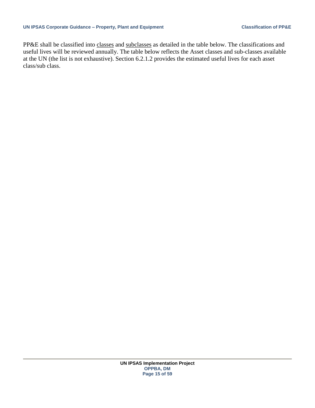PP&E shall be classified into classes and subclasses as detailed in the table below. The classifications and useful lives will be reviewed annually. The table below reflects the Asset classes and sub-classes available at the UN (the list is not exhaustive). Section [6.2.1.2](#page-39-1) provides the estimated useful lives for each asset class/sub class.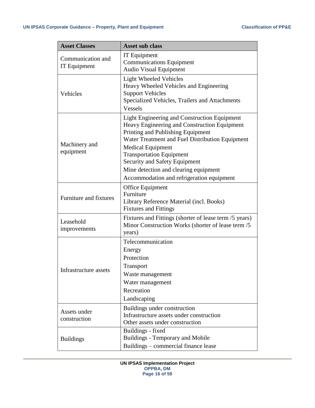| <b>Asset Classes</b>              | <b>Asset sub class</b>                                                                                                                                                                                                                                                                                                                                                     |
|-----------------------------------|----------------------------------------------------------------------------------------------------------------------------------------------------------------------------------------------------------------------------------------------------------------------------------------------------------------------------------------------------------------------------|
| Communication and<br>IT Equipment | IT Equipment<br><b>Communications Equipment</b><br><b>Audio Visual Equipment</b>                                                                                                                                                                                                                                                                                           |
| Vehicles                          | <b>Light Wheeled Vehicles</b><br>Heavy Wheeled Vehicles and Engineering<br><b>Support Vehicles</b><br>Specialized Vehicles, Trailers and Attachments<br><b>Vessels</b>                                                                                                                                                                                                     |
| Machinery and<br>equipment        | Light Engineering and Construction Equipment<br>Heavy Engineering and Construction Equipment<br>Printing and Publishing Equipment<br>Water Treatment and Fuel Distribution Equipment<br><b>Medical Equipment</b><br><b>Transportation Equipment</b><br>Security and Safety Equipment<br>Mine detection and clearing equipment<br>Accommodation and refrigeration equipment |
| <b>Furniture and fixtures</b>     | Office Equipment<br>Furniture<br>Library Reference Material (incl. Books)<br><b>Fixtures and Fittings</b>                                                                                                                                                                                                                                                                  |
| Leasehold<br>improvements         | Fixtures and Fittings (shorter of lease term /5 years)<br>Minor Construction Works (shorter of lease term /5<br>years)                                                                                                                                                                                                                                                     |
| Infrastructure assets             | Telecommunication<br>Energy<br>Protection<br>Transport<br>Waste management<br>Water management<br>Recreation<br>Landscaping                                                                                                                                                                                                                                                |
| Assets under<br>construction      | Buildings under construction<br>Infrastructure assets under construction<br>Other assets under construction                                                                                                                                                                                                                                                                |
| <b>Buildings</b>                  | Buildings - fixed<br>Buildings - Temporary and Mobile<br>Buildings - commercial finance lease                                                                                                                                                                                                                                                                              |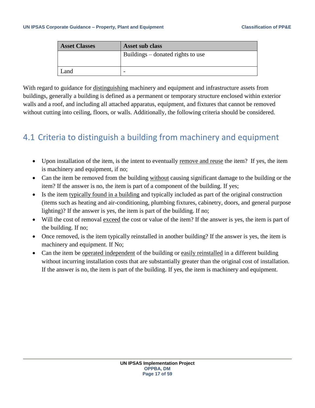| <b>Asset Classes</b> | Asset sub class                   |
|----------------------|-----------------------------------|
|                      | Buildings – donated rights to use |
|                      |                                   |
| Land                 | -                                 |

With regard to guidance for distinguishing machinery and equipment and infrastructure assets from buildings, generally a building is defined as a permanent or temporary [structure](http://www.businessdictionary.com/definition/structure.html) enclosed within exterior walls and a roof, and including all [attached](http://www.businessdictionary.com/definition/attached.html) apparatus, equipment, and [fixtures](http://www.businessdictionary.com/definition/fixtures.html) that cannot be removed without cutting into [ceiling,](http://www.businessdictionary.com/definition/ceiling.html) [floors,](http://www.businessdictionary.com/definition/floor.html) or walls. Additionally, the following criteria should be considered.

### <span id="page-16-0"></span>4.1 Criteria to distinguish a building from machinery and equipment

- Upon installation of the item, is the intent to eventually remove and reuse the item? If yes, the item is machinery and equipment, if no;
- Can the item be removed from the building without causing significant damage to the building or the item? If the answer is no, the item is part of a component of the building. If yes;
- Is the item typically found in a building and typically included as part of the original construction (items such as heating and air-conditioning, plumbing fixtures, cabinetry, doors, and general purpose lighting)? If the answer is yes, the item is part of the building. If no;
- Will the cost of removal exceed the cost or value of the item? If the answer is yes, the item is part of the building. If no;
- Once removed, is the item typically reinstalled in another building? If the answer is yes, the item is machinery and equipment. If No;
- Can the item be operated independent of the building or easily reinstalled in a different building without incurring installation costs that are substantially greater than the original cost of installation. If the answer is no, the item is part of the building. If yes, the item is machinery and equipment.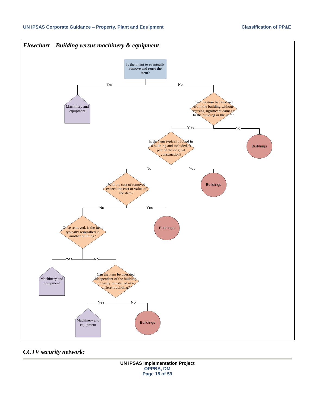

*CCTV security network:*

**UN IPSAS Implementation Project OPPBA, DM Page 18 of 59**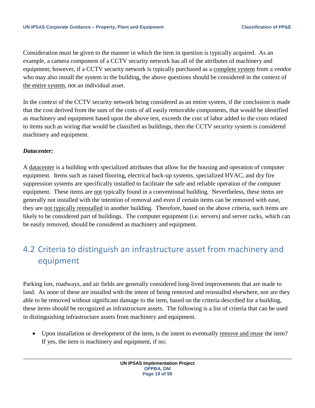Consideration must be given to the manner in which the item in question is typically acquired. As an example, a camera component of a CCTV security network has all of the attributes of machinery and equipment; however, if a CCTV security network is typically purchased as a complete system from a vendor who may also install the system in the building, the above questions should be considered in the context of the entire system, not an individual asset.

In the context of the CCTV security network being considered as an entire system, if the conclusion is made that the cost derived from the sum of the costs of all easily removable components, that would be identified as machinery and equipment based upon the above test, exceeds the cost of labor added to the costs related to items such as wiring that would be classified as buildings, then the CCTV security system is considered machinery and equipment.

### *Datacenter:*

A datacenter is a building with specialized attributes that allow for the housing and operation of computer equipment. Items such as raised flooring, electrical back-up systems, specialized HVAC, and dry fire suppression systems are specifically installed to facilitate the safe and reliable operation of the computer equipment. These items are not typically found in a conventional building. Nevertheless, these items are generally not installed with the intention of removal and even if certain items can be removed with ease, they are not typically reinstalled in another building. Therefore, based on the above criteria, such items are likely to be considered part of buildings. The computer equipment (i.e. servers) and server racks, which can be easily removed, should be considered as machinery and equipment.

### <span id="page-18-0"></span>4.2 Criteria to distinguish an infrastructure asset from machinery and equipment

Parking lots, roadways, and air fields are generally considered long-lived improvements that are made to land. As none of these are installed with the intent of being removed and reinstalled elsewhere, nor are they able to be removed without significant damage to the item, based on the criteria described for a building, these items should be recognized as infrastructure assets. The following is a list of criteria that can be used in distinguishing infrastructure assets from machinery and equipment.

• Upon installation or development of the item, is the intent to eventually remove and reuse the item? If yes, the item is machinery and equipment, if no;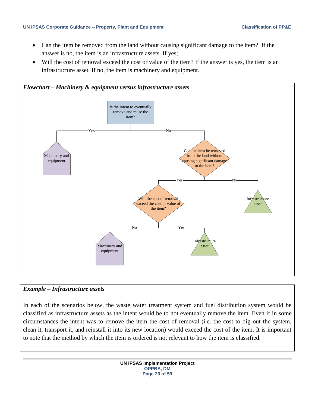#### **UN IPSAS Corporate Guidance – Property, Plant and Equipment Classification of PP&E**

- Can the item be removed from the land without causing significant damage to the item? If the answer is no, the item is an infrastructure assets. If yes;
- Will the cost of removal exceed the cost or value of the item? If the answer is yes, the item is an infrastructure asset. If no, the item is machinery and equipment.



### *Example – Infrastructure assets*

In each of the scenarios below, the waste water treatment system and fuel distribution system would be classified as infrastructure assets as the intent would be to not eventually remove the item. Even if in some circumstances the intent was to remove the item the cost of removal (i.e. the cost to dig out the system, clean it, transport it, and reinstall it into its new location) would exceed the cost of the item. It is important to note that the method by which the item is ordered is not relevant to how the item is classified.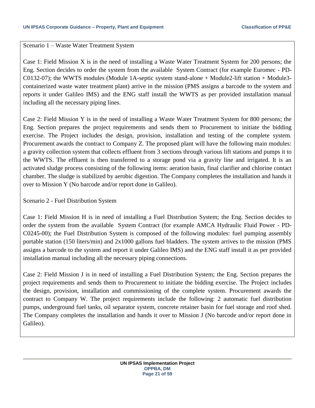#### Scenario 1 – Waste Water Treatment System

Case 1: Field Mission X is in the need of installing a Waste Water Treatment System for 200 persons; the Eng. Section decides to order the system from the available System Contract (for example Euromec - PD-C0132-07); the WWTS modules (Module 1A-septic system stand-alone + Module2-lift station + Module3 containerized waste water treatment plant) arrive in the mission (PMS assigns a barcode to the system and reports it under Galileo IMS) and the ENG staff install the WWTS as per provided installation manual including all the necessary piping lines.

Case 2: Field Mission Y is in the need of installing a Waste Water Treatment System for 800 persons; the Eng. Section prepares the project requirements and sends them to Procurement to initiate the bidding exercise. The Project includes the design, provision, installation and testing of the complete system. Procurement awards the contract to Company Z. The proposed plant will have the following main modules: a gravity collection system that collects effluent from 3 sections through various lift stations and pumps it to the WWTS. The effluent is then transferred to a storage pond via a gravity line and irrigated. It is an activated sludge process consisting of the following items: aeration basin, final clarifier and chlorine contact chamber. The sludge is stabilized by aerobic digestion. The Company completes the installation and hands it over to Mission Y (No barcode and/or report done in Galileo).

Scenario 2 - Fuel Distribution System

Case 1: Field Mission H is in need of installing a Fuel Distribution System; the Eng. Section decides to order the system from the available System Contract (for example AMCA Hydraulic Fluid Power - PD-C0245-00); the Fuel Distribution System is composed of the following modules: fuel pumping assembly portable station (150 liters/min) and 2x1000 gallons fuel bladders. The system arrives to the mission (PMS assigns a barcode to the system and report it under Galileo IMS) and the ENG staff install it as per provided installation manual including all the necessary piping connections.

Case 2: Field Mission J is in need of installing a Fuel Distribution System; the Eng. Section prepares the project requirements and sends them to Procurement to initiate the bidding exercise. The Project includes the design, provision, installation and commissioning of the complete system. Procurement awards the contract to Company W. The project requirements include the following: 2 automatic fuel distribution pumps, underground fuel tanks, oil separator system, concrete retainer basin for fuel storage and roof shed. The Company completes the installation and hands it over to Mission J (No barcode and/or report done in Galileo).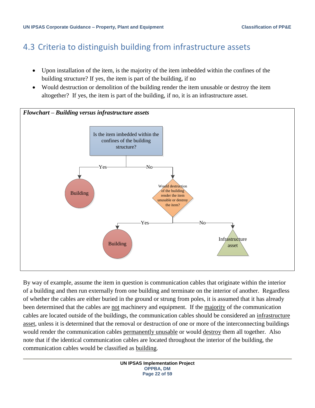### <span id="page-21-0"></span>4.3 Criteria to distinguish building from infrastructure assets

- Upon installation of the item, is the majority of the item imbedded within the confines of the building structure? If yes, the item is part of the building, if no
- Would destruction or demolition of the building render the item unusable or destroy the item altogether? If yes, the item is part of the building, if no, it is an infrastructure asset.



By way of example, assume the item in question is communication cables that originate within the interior of a building and then run externally from one building and terminate on the interior of another. Regardless of whether the cables are either buried in the ground or strung from poles, it is assumed that it has already been determined that the cables are not machinery and equipment. If the majority of the communication cables are located outside of the buildings, the communication cables should be considered an infrastructure asset, unless it is determined that the removal or destruction of one or more of the interconnecting buildings would render the communication cables permanently unusable or would destroy them all together. Also note that if the identical communication cables are located throughout the interior of the building, the communication cables would be classified as building.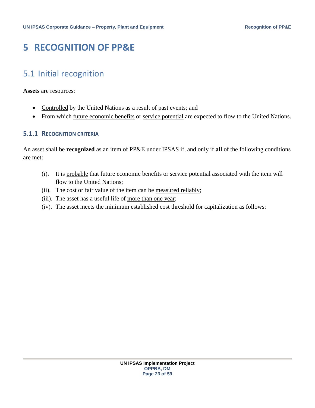### <span id="page-22-0"></span>**5 RECOGNITION OF PP&E**

### <span id="page-22-1"></span>5.1 Initial recognition

**Assets** are resources:

- Controlled by the United Nations as a result of past events; and
- From which future economic benefits or service potential are expected to flow to the United Nations.

### <span id="page-22-2"></span>**5.1.1 RECOGNITION CRITERIA**

An asset shall be **recognized** as an item of PP&E under IPSAS if, and only if **all** of the following conditions are met:

- (i). It is probable that future economic benefits or service potential associated with the item will flow to the United Nations;
- (ii). The cost or fair value of the item can be measured reliably;
- (iii). The asset has a useful life of more than one year;
- (iv). The asset meets the minimum established cost threshold for capitalization as follows: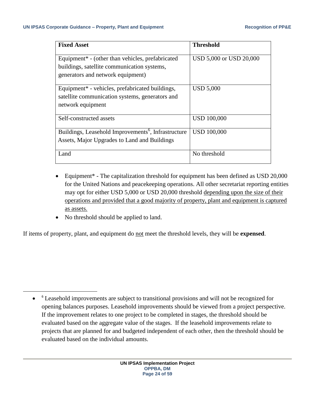| <b>Fixed Asset</b>                                              | <b>Threshold</b>        |
|-----------------------------------------------------------------|-------------------------|
|                                                                 |                         |
| Equipment <sup>*</sup> - (other than vehicles, prefabricated    | USD 5,000 or USD 20,000 |
| buildings, satellite communication systems,                     |                         |
| generators and network equipment)                               |                         |
|                                                                 |                         |
| Equipment* - vehicles, prefabricated buildings,                 | <b>USD 5,000</b>        |
| satellite communication systems, generators and                 |                         |
| network equipment                                               |                         |
|                                                                 |                         |
| Self-constructed assets                                         | <b>USD 100,000</b>      |
|                                                                 |                         |
| Buildings, Leasehold Improvements <sup>6</sup> , Infrastructure | <b>USD 100,000</b>      |
| Assets, Major Upgrades to Land and Buildings                    |                         |
|                                                                 |                         |
| Land                                                            | No threshold            |
|                                                                 |                         |

- Equipment<sup>\*</sup> The capitalization threshold for equipment has been defined as USD 20,000 for the United Nations and peacekeeping operations. All other secretariat reporting entities may opt for either USD 5,000 or USD 20,000 threshold depending upon the size of their operations and provided that a good majority of property, plant and equipment is captured as assets.
- No threshold should be applied to land.

 $\overline{a}$ 

If items of property, plant, and equipment do not meet the threshold levels, they will be **expensed**.

 $\bullet$ <sup>6</sup> Leasehold improvements are subject to transitional provisions and will not be recognized for opening balances purposes. Leasehold improvements should be viewed from a project perspective. If the improvement relates to one project to be completed in stages, the threshold should be evaluated based on the aggregate value of the stages. If the leasehold improvements relate to projects that are planned for and budgeted independent of each other, then the threshold should be evaluated based on the individual amounts.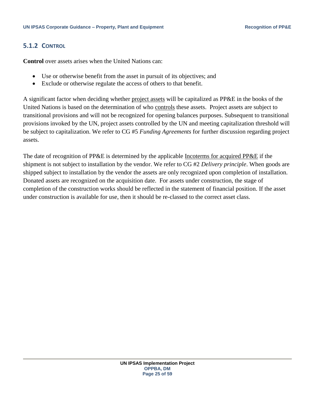### <span id="page-24-0"></span>**5.1.2 CONTROL**

**Control** over assets arises when the United Nations can:

- Use or otherwise benefit from the asset in pursuit of its objectives; and
- Exclude or otherwise regulate the access of others to that benefit.

A significant factor when deciding whether project assets will be capitalized as PP&E in the books of the United Nations is based on the determination of who controls these assets. Project assets are subject to transitional provisions and will not be recognized for opening balances purposes. Subsequent to transitional provisions invoked by the UN, project assets controlled by the UN and meeting capitalization threshold will be subject to capitalization. We refer to CG #5 *Funding Agreements* for further discussion regarding project assets.

The date of recognition of PP&E is determined by the applicable Incoterms for acquired PP&E if the shipment is not subject to installation by the vendor. We refer to CG #2 *Delivery principle*. When goods are shipped subject to installation by the vendor the assets are only recognized upon completion of installation. Donated assets are recognized on the acquisition date. For assets under construction, the stage of completion of the construction works should be reflected in the statement of financial position. If the asset under construction is available for use, then it should be re-classed to the correct asset class.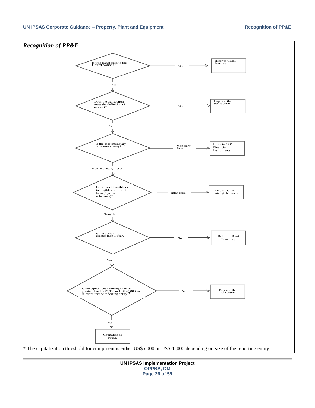#### **UN IPSAS Corporate Guidance – Property, Plant and Equipment Recognition of PP&E**



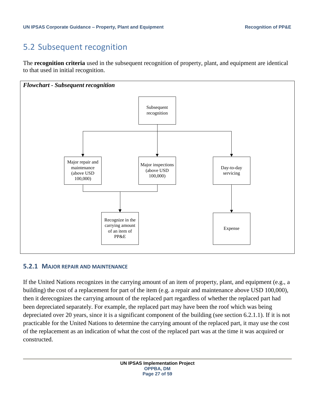### <span id="page-26-0"></span>5.2 Subsequent recognition

The **recognition criteria** used in the subsequent recognition of property, plant, and equipment are identical to that used in initial recognition.



#### <span id="page-26-1"></span>**5.2.1 MAJOR REPAIR AND MAINTENANCE**

If the United Nations recognizes in the carrying amount of an item of property, plant, and equipment (e.g., a building) the cost of a replacement for part of the item (e.g. a repair and maintenance above USD 100,000), then it derecognizes the carrying amount of the replaced part regardless of whether the replaced part had been depreciated separately. For example, the replaced part may have been the roof which was being depreciated over 20 years, since it is a significant component of the building (see section 6.2.1.1). If it is not practicable for the United Nations to determine the carrying amount of the replaced part, it may use the cost of the replacement as an indication of what the cost of the replaced part was at the time it was acquired or constructed.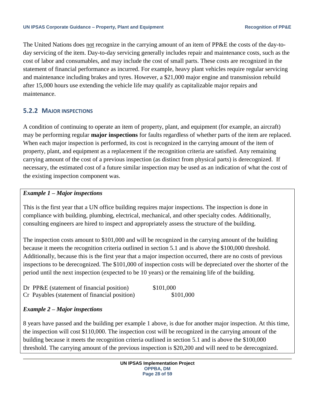The United Nations does not recognize in the carrying amount of an item of PP&E the costs of the day-today servicing of the item. Day-to-day servicing generally includes repair and maintenance costs, such as the cost of labor and consumables, and may include the cost of small parts. These costs are recognized in the statement of financial performance as incurred. For example, heavy plant vehicles require regular servicing and maintenance including brakes and tyres. However, a \$21,000 major engine and transmission rebuild after 15,000 hours use extending the vehicle life may qualify as capitalizable major repairs and maintenance.

### <span id="page-27-0"></span>**5.2.2 MAJOR INSPECTIONS**

A condition of continuing to operate an item of property, plant, and equipment (for example, an aircraft) may be performing regular **major inspections** for faults regardless of whether parts of the item are replaced. When each major inspection is performed, its cost is recognized in the carrying amount of the item of property, plant, and equipment as a replacement if the recognition criteria are satisfied. Any remaining carrying amount of the cost of a previous inspection (as distinct from physical parts) is derecognized. If necessary, the estimated cost of a future similar inspection may be used as an indication of what the cost of the existing inspection component was.

### *Example 1 – Major inspections*

This is the first year that a UN office building requires major inspections. The inspection is done in compliance with building, plumbing, electrical, mechanical, and other specialty codes. Additionally, consulting engineers are hired to inspect and appropriately assess the structure of the building.

The inspection costs amount to \$101,000 and will be recognized in the carrying amount of the building because it meets the recognition criteria outlined in section 5.1 and is above the \$100,000 threshold. Additionally, because this is the first year that a major inspection occurred, there are no costs of previous inspections to be derecognized. The \$101,000 of inspection costs will be depreciated over the shorter of the period until the next inspection (expected to be 10 years) or the remaining life of the building.

| Dr PP&E (statement of financial position)     | \$101,000 |
|-----------------------------------------------|-----------|
| Cr Payables (statement of financial position) | \$101,000 |

### *Example 2 – Major inspections*

8 years have passed and the building per example 1 above, is due for another major inspection. At this time, the inspection will cost \$110,000. The inspection cost will be recognized in the carrying amount of the building because it meets the recognition criteria outlined in section 5.1 and is above the \$100,000 threshold. The carrying amount of the previous inspection is \$20,200 and will need to be derecognized.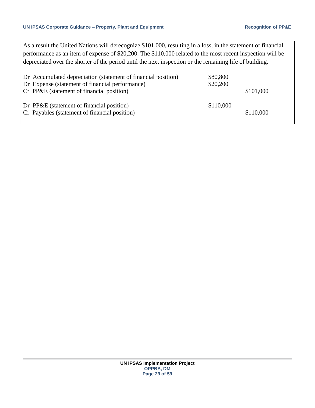As a result the United Nations will derecognize \$101,000, resulting in a loss, in the statement of financial performance as an item of expense of \$20,200. The \$110,000 related to the most recent inspection will be depreciated over the shorter of the period until the next inspection or the remaining life of building.

| Dr Accumulated depreciation (statement of financial position)<br>Dr Expense (statement of financial performance) | \$80,800<br>\$20,200 |           |
|------------------------------------------------------------------------------------------------------------------|----------------------|-----------|
| Cr PP&E (statement of financial position)                                                                        |                      | \$101,000 |
| Dr PP&E (statement of financial position)<br>Cr Payables (statement of financial position)                       | \$110,000            | \$110,000 |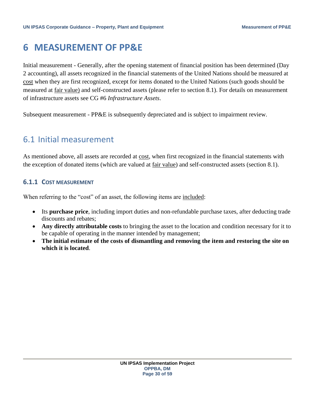### <span id="page-29-0"></span>**6 MEASUREMENT OF PP&E**

Initial measurement - Generally, after the opening statement of financial position has been determined (Day 2 accounting), all assets recognized in the financial statements of the United Nations should be measured at cost when they are first recognized, except for items donated to the United Nations (such goods should be measured at fair value) and self-constructed assets (please refer to section 8.1). For details on measurement of infrastructure assets see CG #6 *Infrastructure Assets*.

Subsequent measurement - PP&E is subsequently depreciated and is subject to impairment review.

### <span id="page-29-1"></span>6.1 Initial measurement

As mentioned above, all assets are recorded at cost, when first recognized in the financial statements with the exception of donated items (which are valued at fair value) and self-constructed assets (section 8.1).

### <span id="page-29-2"></span>**6.1.1 COST MEASUREMENT**

When referring to the "cost" of an asset, the following items are included:

- Its **purchase price**, including import duties and non-refundable purchase taxes, after deducting trade discounts and rebates;
- **Any directly attributable costs** to bringing the asset to the location and condition necessary for it to be capable of operating in the manner intended by management;
- **The initial estimate of the costs of dismantling and removing the item and restoring the site on which it is located**.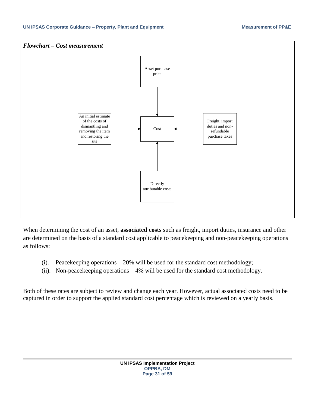

When determining the cost of an asset, **associated costs** such as freight, import duties, insurance and other are determined on the basis of a standard cost applicable to peacekeeping and non-peacekeeping operations as follows:

- (i). Peacekeeping operations 20% will be used for the standard cost methodology;
- (ii). Non-peacekeeping operations 4% will be used for the standard cost methodology.

Both of these rates are subject to review and change each year. However, actual associated costs need to be captured in order to support the applied standard cost percentage which is reviewed on a yearly basis.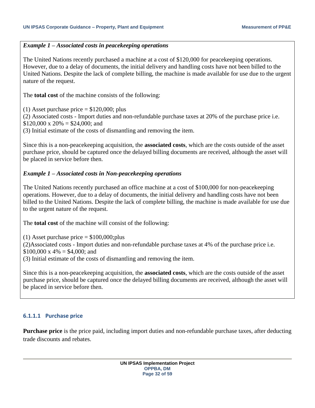### *Example 1 – Associated costs in peacekeeping operations*

The United Nations recently purchased a machine at a cost of \$120,000 for peacekeeping operations. However, due to a delay of documents, the initial delivery and handling costs have not been billed to the United Nations. Despite the lack of complete billing, the machine is made available for use due to the urgent nature of the request.

The **total cost** of the machine consists of the following:

(1) Asset purchase price  $= $120,000$ ; plus

(2) Associated costs - Import duties and non-refundable purchase taxes at 20% of the purchase price i.e.  $$120,000 \times 20\% = $24,000$ ; and

(3) Initial estimate of the costs of dismantling and removing the item.

Since this is a non-peacekeeping acquisition, the **associated costs**, which are the costs outside of the asset purchase price, should be captured once the delayed billing documents are received, although the asset will be placed in service before then.

### *Example 1 – Associated costs in Non-peacekeeping operations*

The United Nations recently purchased an office machine at a cost of \$100,000 for non-peacekeeping operations. However, due to a delay of documents, the initial delivery and handling costs have not been billed to the United Nations. Despite the lack of complete billing, the machine is made available for use due to the urgent nature of the request.

The **total cost** of the machine will consist of the following:

(1) Asset purchase price  $= $100,000;$  plus (2)Associated costs - Import duties and non-refundable purchase taxes at 4% of the purchase price i.e.  $$100,000 \times 4\% = $4,000$ ; and

(3) Initial estimate of the costs of dismantling and removing the item.

Since this is a non-peacekeeping acquisition, the **associated costs**, which are the costs outside of the asset purchase price, should be captured once the delayed billing documents are received, although the asset will be placed in service before then.

### <span id="page-31-0"></span>**6.1.1.1 Purchase price**

**Purchase price** is the price paid, including import duties and non-refundable purchase taxes, after deducting trade discounts and rebates.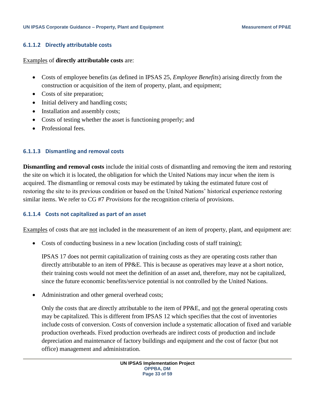#### <span id="page-32-0"></span>**6.1.1.2 Directly attributable costs**

Examples of **directly attributable costs** are:

- Costs of employee benefits (as defined in IPSAS 25, *Employee Benefits*) arising directly from the construction or acquisition of the item of property, plant, and equipment;
- Costs of site preparation;
- Initial delivery and handling costs;
- Installation and assembly costs;
- Costs of testing whether the asset is functioning properly; and
- Professional fees.

### <span id="page-32-1"></span>**6.1.1.3 Dismantling and removal costs**

**Dismantling and removal costs** include the initial costs of dismantling and removing the item and restoring the site on which it is located, the obligation for which the United Nations may incur when the item is acquired. The dismantling or removal costs may be estimated by taking the estimated future cost of restoring the site to its previous condition or based on the United Nations' historical experience restoring similar items. We refer to CG #7 *Provisions* for the recognition criteria of provisions.

#### <span id="page-32-2"></span>**6.1.1.4 Costs not capitalized as part of an asset**

Examples of costs that are not included in the measurement of an item of property, plant, and equipment are:

Costs of conducting business in a new location (including costs of staff training);

IPSAS 17 does not permit capitalization of training costs as they are operating costs rather than directly attributable to an item of PP&E. This is because as operatives may leave at a short notice, their training costs would not meet the definition of an asset and, therefore, may not be capitalized, since the future economic benefits/service potential is not controlled by the United Nations.

• Administration and other general overhead costs;

Only the costs that are directly attributable to the item of PP&E, and not the general operating costs may be capitalized. This is different from IPSAS 12 which specifies that the cost of inventories include costs of conversion. Costs of conversion include a systematic allocation of fixed and variable production overheads. Fixed production overheads are indirect costs of production and include depreciation and maintenance of factory buildings and equipment and the cost of factor (but not office) management and administration.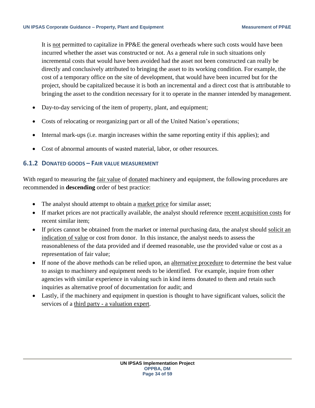It is not permitted to capitalize in PP&E the general overheads where such costs would have been incurred whether the asset was constructed or not. As a general rule in such situations only incremental costs that would have been avoided had the asset not been constructed can really be directly and conclusively attributed to bringing the asset to its working condition. For example, the cost of a temporary office on the site of development, that would have been incurred but for the project, should be capitalized because it is both an incremental and a direct cost that is attributable to bringing the asset to the condition necessary for it to operate in the manner intended by management.

- Day-to-day servicing of the item of property, plant, and equipment;
- Costs of relocating or reorganizing part or all of the United Nation's operations;
- Internal mark-ups (i.e. margin increases within the same reporting entity if this applies); and
- Cost of abnormal amounts of wasted material, labor, or other resources.

### <span id="page-33-0"></span>**6.1.2 DONATED GOODS – FAIR VALUE MEASUREMENT**

With regard to measuring the fair value of donated machinery and equipment, the following procedures are recommended in **descending** order of best practice:

- The analyst should attempt to obtain a market price for similar asset;
- If market prices are not practically available, the analyst should reference recent acquisition costs for recent similar item;
- If prices cannot be obtained from the market or internal purchasing data, the analyst should solicit an indication of value or cost from donor. In this instance, the analyst needs to assess the reasonableness of the data provided and if deemed reasonable, use the provided value or cost as a representation of fair value;
- If none of the above methods can be relied upon, an alternative procedure to determine the best value to assign to machinery and equipment needs to be identified. For example, inquire from other agencies with similar experience in valuing such in kind items donated to them and retain such inquiries as alternative proof of documentation for audit; and
- Lastly, if the machinery and equipment in question is thought to have significant values, solicit the services of a third party - a valuation expert.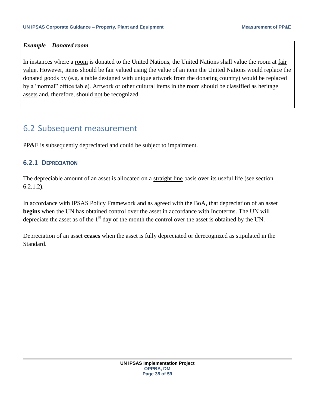#### *Example – Donated room*

In instances where a room is donated to the United Nations, the United Nations shall value the room at fair value. However, items should be fair valued using the value of an item the United Nations would replace the donated goods by (e.g. a table designed with unique artwork from the donating country) would be replaced by a "normal" office table). Artwork or other cultural items in the room should be classified as heritage assets and, therefore, should not be recognized.

### <span id="page-34-0"></span>6.2 Subsequent measurement

PP&E is subsequently depreciated and could be subject to impairment.

### <span id="page-34-1"></span>**6.2.1 DEPRECIATION**

The depreciable amount of an asset is allocated on a straight line basis over its useful life (see section 6.2.1.2).

In accordance with IPSAS Policy Framework and as agreed with the BoA, that depreciation of an asset **begins** when the UN has obtained control over the asset in accordance with Incoterms. The UN will depreciate the asset as of the  $1<sup>st</sup>$  day of the month the control over the asset is obtained by the UN.

Depreciation of an asset **ceases** when the asset is fully depreciated or derecognized as stipulated in the Standard.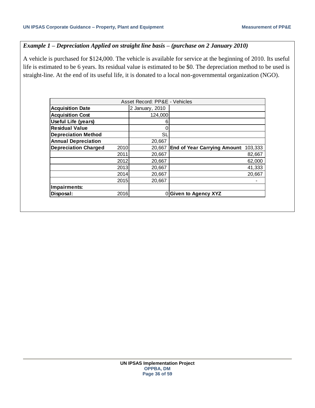### *Example 1 – Depreciation Applied on straight line basis – (purchase on 2 January 2010)*

A vehicle is purchased for \$124,000. The vehicle is available for service at the beginning of 2010. Its useful life is estimated to be 6 years. Its residual value is estimated to be \$0. The depreciation method to be used is straight-line. At the end of its useful life, it is donated to a local non-governmental organization (NGO).

| Asset Record: PP&E - Vehicles       |                 |                                                |  |  |  |  |
|-------------------------------------|-----------------|------------------------------------------------|--|--|--|--|
| <b>Acquisition Date</b>             | 2 January, 2010 |                                                |  |  |  |  |
| <b>Acquisition Cost</b>             | 124,000         |                                                |  |  |  |  |
| <b>Useful Life (years)</b>          | 6               |                                                |  |  |  |  |
| <b>Residual Value</b>               | 0               |                                                |  |  |  |  |
| <b>Depreciation Method</b>          | SL              |                                                |  |  |  |  |
| <b>Annual Depreciation</b>          | 20,667          |                                                |  |  |  |  |
| <b>Depreciation Charged</b><br>2010 | 20.667          | <b>End of Year Carrying Amount:</b><br>103,333 |  |  |  |  |
| 2011                                | 20,667          | 82,667                                         |  |  |  |  |
| 2012                                | 20,667          | 62,000                                         |  |  |  |  |
| 2013                                | 20,667          | 41,333                                         |  |  |  |  |
| 2014                                | 20,667          | 20.667                                         |  |  |  |  |
| 2015                                | 20,667          |                                                |  |  |  |  |
| Impairments:                        |                 |                                                |  |  |  |  |
| 2016<br>Disposal:                   |                 | 0 Given to Agency XYZ                          |  |  |  |  |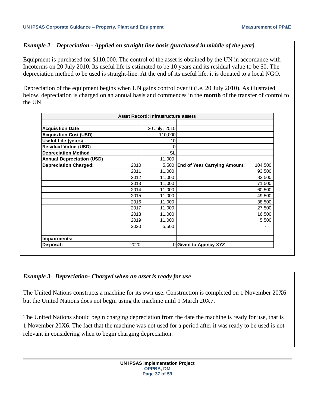### *Example 2 – Depreciation - Applied on straight line basis (purchased in middle of the year)*

Equipment is purchased for \$110,000. The control of the asset is obtained by the UN in accordance with Incoterms on 20 July 2010. Its useful life is estimated to be 10 years and its residual value to be \$0. The depreciation method to be used is straight-line. At the end of its useful life, it is donated to a local NGO.

Depreciation of the equipment begins when UN gains control over it (i.e. 20 July 2010). As illustrated below, depreciation is charged on an annual basis and commences in the **month** of the transfer of control to the UN.

| Asset Record: Infrastructure assets  |  |               |                                     |         |  |  |
|--------------------------------------|--|---------------|-------------------------------------|---------|--|--|
|                                      |  |               |                                     |         |  |  |
| <b>Acquisition Date</b>              |  | 20 July, 2010 |                                     |         |  |  |
| <b>Acquisition Cost (USD)</b>        |  | 110,000       |                                     |         |  |  |
| <b>Useful Life (years)</b>           |  | 10            |                                     |         |  |  |
| <b>Residual Value (USD)</b>          |  | 0             |                                     |         |  |  |
| <b>Depreciation Method</b>           |  | SL            |                                     |         |  |  |
| <b>Annual Depreciation (USD)</b>     |  | 11,000        |                                     |         |  |  |
| <b>Depreciation Charged:</b><br>2010 |  | 5,500         | <b>End of Year Carrying Amount:</b> | 104,500 |  |  |
| 2011                                 |  | 11,000        |                                     | 93,500  |  |  |
| 2012                                 |  | 11,000        |                                     | 82,500  |  |  |
| 2013                                 |  | 11,000        |                                     | 71,500  |  |  |
| 2014                                 |  | 11,000        |                                     | 60,500  |  |  |
| 2015                                 |  | 11,000        |                                     | 49,500  |  |  |
| 2016                                 |  | 11,000        |                                     | 38,500  |  |  |
| 2017                                 |  | 11,000        |                                     | 27,500  |  |  |
| 2018                                 |  | 11,000        |                                     | 16,500  |  |  |
| 2019                                 |  | 11,000        |                                     | 5,500   |  |  |
| 2020                                 |  | 5,500         |                                     |         |  |  |
|                                      |  |               |                                     |         |  |  |
| Impairments:                         |  |               |                                     |         |  |  |
| 2020<br>Disposal:                    |  |               | 0Given to Agency XYZ                |         |  |  |

#### *Example 3– Depreciation- Charged when an asset is ready for use*

The United Nations constructs a machine for its own use. Construction is completed on 1 November 20X6 but the United Nations does not begin using the machine until 1 March 20X7.

The United Nations should begin charging depreciation from the date the machine is ready for use, that is 1 November 20X6. The fact that the machine was not used for a period after it was ready to be used is not relevant in considering when to begin charging depreciation.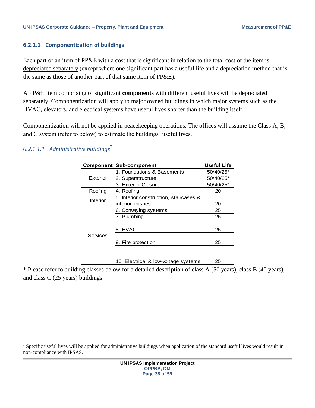#### <span id="page-37-0"></span>**6.2.1.1 Componentization of buildings**

Each part of an item of PP&E with a cost that is significant in relation to the total cost of the item is depreciated separately (except where one significant part has a useful life and a depreciation method that is the same as those of another part of that same item of PP&E).

A PP&E item comprising of significant **components** with different useful lives will be depreciated separately. Componentization will apply to major owned buildings in which major systems such as the HVAC, elevators, and electrical systems have useful lives shorter than the building itself.

Componentization will not be applied in peacekeeping operations. The offices will assume the Class A, B, and C system (refer to below) to estimate the buildings' useful lives.

| <b>Sub-component</b>                   | <b>Useful Life</b>                   |
|----------------------------------------|--------------------------------------|
| 1. Foundations & Basements             | 50/40/25*                            |
| 2. Superstructure                      | 50/40/25*                            |
| 3. Exterior Closure                    | 50/40/25*                            |
| 4. Roofing                             | 20                                   |
| 5. Interior construction, staircases & |                                      |
| interior finishes                      | 20                                   |
| 6. Conveying systems                   | 25                                   |
| 7. Plumbing                            | 25                                   |
| 8. HVAC                                | 25                                   |
| 9. Fire protection                     | 25                                   |
|                                        | 25                                   |
|                                        | 10. Electrical & low-voltage systems |

### <span id="page-37-1"></span>*6.2.1.1.1 Administrative buildings*<sup>7</sup>

\* Please refer to building classes below for a detailed description of class A (50 years), class B (40 years), and class C (25 years) buildings

 $\overline{a}$ <sup>7</sup> Specific useful lives will be applied for administrative buildings when application of the standard useful lives would result in non-compliance with IPSAS.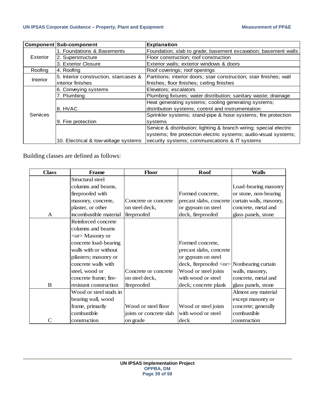|                 | <b>Component Sub-component</b>         | <b>Explanation</b>                                                   |
|-----------------|----------------------------------------|----------------------------------------------------------------------|
|                 | 1. Foundations & Basements             | Foundation; slab to grade; basement excavation; basement walls       |
| Exterior        | 2. Superstructure                      | Floor construction; roof construction                                |
|                 | 3. Exterior Closure                    | Exterior walls; exterior windows & doors                             |
| Roofing         | 4. Roofing                             | Roof coverings; roof openings                                        |
| <b>Interior</b> | 5. Interior construction, staircases & | Partitions; interior doors; stair construction; stair finishes; wall |
|                 | interior finishes                      | finishes; floor finishes; ceiling finishes                           |
|                 | 6. Conveying systems                   | Elevators; escalators                                                |
|                 | 7. Plumbing                            | Plumbing fixtures; water distribution; sanitary waste; drainage      |
|                 |                                        | Heat generating systems; cooling generating systems;                 |
|                 | 8. HVAC                                | distribution systems; control and instrumentation                    |
| <b>Services</b> |                                        | Sprinkler systems; stand-pipe & hose systems; fire protection        |
|                 | 9. Fire protection                     | systems                                                              |
|                 |                                        | Service & distribution; lighting & branch wiring; special electric   |
|                 |                                        | systems; fire protection electric systems; audio-visual systems;     |
|                 | 10. Electrical & low-voltage systems   | security systems; communications & IT systems                        |

| Component Sub-component |            |                                          |                | <b>Explanation</b>                                         |                                                                                                           |                         |  |  |  |  |  |  |  |
|-------------------------|------------|------------------------------------------|----------------|------------------------------------------------------------|-----------------------------------------------------------------------------------------------------------|-------------------------|--|--|--|--|--|--|--|
|                         |            | 1. Foundations & Basements               |                | Foundation; slab to grade; basement excavation; basement   |                                                                                                           |                         |  |  |  |  |  |  |  |
| Exterior                |            | 2. Superstructure                        |                | Floor construction; roof construction                      |                                                                                                           |                         |  |  |  |  |  |  |  |
|                         |            | 3. Exterior Closure                      |                | Exterior walls; exterior windows & doors                   |                                                                                                           |                         |  |  |  |  |  |  |  |
| Roofing                 | 4. Roofing |                                          |                | Roof coverings; roof openings                              |                                                                                                           |                         |  |  |  |  |  |  |  |
| Interior                |            | 5. Interior construction, staircases &   |                |                                                            | Partitions; interior doors; stair construction; stair finishes; w                                         |                         |  |  |  |  |  |  |  |
|                         |            | interior finishes                        |                |                                                            | finishes; floor finishes; ceiling finishes                                                                |                         |  |  |  |  |  |  |  |
|                         |            | 6. Conveying systems                     |                | Elevators; escalators                                      |                                                                                                           |                         |  |  |  |  |  |  |  |
|                         |            | 7. Plumbing                              |                |                                                            | Plumbing fixtures; water distribution; sanitary waste; drainag                                            |                         |  |  |  |  |  |  |  |
|                         | 8. HVAC    |                                          |                |                                                            | Heat generating systems; cooling generating systems;<br>distribution systems; control and instrumentation |                         |  |  |  |  |  |  |  |
| Services                |            |                                          |                |                                                            | Sprinkler systems; stand-pipe & hose systems; fire protecti                                               |                         |  |  |  |  |  |  |  |
|                         |            | 9. Fire protection                       |                | systems                                                    |                                                                                                           |                         |  |  |  |  |  |  |  |
|                         |            |                                          |                |                                                            | Service & distribution; lighting & branch wiring; special elect                                           |                         |  |  |  |  |  |  |  |
|                         |            |                                          |                |                                                            | systems; fire protection electric systems; audio-visual syste                                             |                         |  |  |  |  |  |  |  |
|                         |            | 10. Electrical & low-voltage systems     |                |                                                            | security systems; communications & IT systems                                                             |                         |  |  |  |  |  |  |  |
|                         |            | Building classes are defined as follows: |                |                                                            |                                                                                                           |                         |  |  |  |  |  |  |  |
| <b>Class</b>            |            | Frame                                    |                | Floor                                                      | Roof                                                                                                      | <b>Walls</b>            |  |  |  |  |  |  |  |
|                         |            | Structural steel                         |                |                                                            |                                                                                                           |                         |  |  |  |  |  |  |  |
|                         |            | columns and beams,                       |                |                                                            |                                                                                                           | Load-bearing masonry    |  |  |  |  |  |  |  |
|                         |            | fireproofed with                         |                |                                                            | Formed concrete,                                                                                          | or stone, non-bearing   |  |  |  |  |  |  |  |
|                         |            | masonry, concrete,                       |                | Concrete or concrete                                       | precast slabs, concrete                                                                                   | curtain walls, masonry, |  |  |  |  |  |  |  |
|                         |            | plaster, or other                        | on steel deck, |                                                            | or gypsum on steel                                                                                        | concrete, metal and     |  |  |  |  |  |  |  |
| A                       |            | incombustible material                   | fireproofed    |                                                            | deck, fireproofed                                                                                         | glass panels, stone     |  |  |  |  |  |  |  |
|                         |            | Reinforced concrete                      |                |                                                            |                                                                                                           |                         |  |  |  |  |  |  |  |
|                         |            | columns and beams                        |                |                                                            |                                                                                                           |                         |  |  |  |  |  |  |  |
|                         |            | <or>Masonry or</or>                      |                |                                                            |                                                                                                           |                         |  |  |  |  |  |  |  |
|                         |            | concrete load-bearing                    |                |                                                            | Formed concrete,                                                                                          |                         |  |  |  |  |  |  |  |
|                         |            | walls with or without                    |                |                                                            | precast slabs, concrete                                                                                   |                         |  |  |  |  |  |  |  |
|                         |            | pilasters; masonry or                    |                |                                                            | or gypsum on steel                                                                                        |                         |  |  |  |  |  |  |  |
|                         |            | concrete walls with                      |                |                                                            | deck, fireproofed <or> Nonbearing curtain</or>                                                            |                         |  |  |  |  |  |  |  |
|                         |            | steel, wood or                           |                | Concrete or concrete                                       | Wood or steel joists                                                                                      | walls, masonry,         |  |  |  |  |  |  |  |
|                         |            | concrete frame; fire-                    | on steel deck, |                                                            | with wood or steel                                                                                        | concrete, metal and     |  |  |  |  |  |  |  |
| $\, {\bf B}$            |            | resistant construction                   | fireproofed    |                                                            | deck; concrete plank                                                                                      | glass panels, stone     |  |  |  |  |  |  |  |
|                         |            | Wood or steel studs in                   |                |                                                            |                                                                                                           | Almost any material     |  |  |  |  |  |  |  |
|                         |            |                                          |                |                                                            |                                                                                                           |                         |  |  |  |  |  |  |  |
|                         |            | bearing wall, wood                       |                |                                                            |                                                                                                           | except masonry or       |  |  |  |  |  |  |  |
|                         |            | frame, primarily                         |                | Wood or steel floor                                        | Wood or steel joists                                                                                      | concrete; generally     |  |  |  |  |  |  |  |
|                         |            | combustible                              |                | joists or concrete slab                                    | with wood or steel                                                                                        | combustible             |  |  |  |  |  |  |  |
|                         |            |                                          |                |                                                            |                                                                                                           |                         |  |  |  |  |  |  |  |
| $\mathbf C$             |            | construction                             | on grade       | <b>UN IPSAS Implementation Project</b><br><b>OPPBA, DM</b> | deck                                                                                                      | construction            |  |  |  |  |  |  |  |
|                         |            |                                          |                | Page 39 of 59                                              |                                                                                                           |                         |  |  |  |  |  |  |  |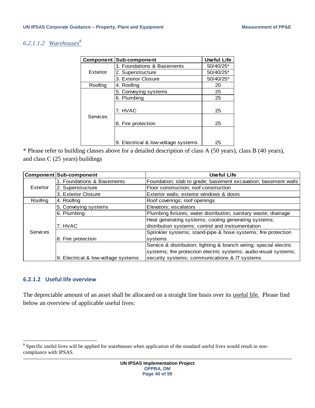### <span id="page-39-0"></span>*6.2.1.1.2 Warehouses<sup>8</sup>*

|          | <b>Component Sub-component</b>      | <b>Useful Life</b> |
|----------|-------------------------------------|--------------------|
|          | 1. Foundations & Basements          | 50/40/25*          |
| Exterior | 2. Superstructure                   | 50/40/25*          |
|          | 3. Exterior Closure                 | 50/40/25*          |
| Roofing  | 4. Roofing                          | 20                 |
|          | 5. Conveying systems                | 25                 |
|          | 6. Plumbing                         | 25                 |
|          | 7. HVAC                             | 25                 |
| Services | 8. Fire protection                  | 25                 |
|          |                                     |                    |
|          | 9. Electrical & low-voltage systems | 25                 |

\* Please refer to building classes above for a detailed description of class A (50 years), class B (40 years), and class C (25 years) buildings

|                 | Component Sub-component             | <b>Useful Life</b>                                                 |  |  |  |  |  |
|-----------------|-------------------------------------|--------------------------------------------------------------------|--|--|--|--|--|
|                 | 1. Foundations & Basements          | Foundation; slab to grade; basement excavation; basement walls     |  |  |  |  |  |
| Exterior        | 2. Superstructure                   | Floor construction; roof construction                              |  |  |  |  |  |
|                 | 3. Exterior Closure                 | Exterior walls; exterior windows & doors                           |  |  |  |  |  |
| Roofing         | 4. Roofing                          | Roof coverings; roof openings                                      |  |  |  |  |  |
|                 | 5. Conveying systems                | Elevators; escalators                                              |  |  |  |  |  |
|                 | 6. Plumbing                         | Plumbing fixtures; water distribution; sanitary waste; drainage    |  |  |  |  |  |
|                 |                                     | Heat generating systems; cooling generating systems;               |  |  |  |  |  |
|                 | 7. HVAC                             | distribution systems; control and instrumentation                  |  |  |  |  |  |
| <b>Services</b> |                                     | Sprinkler systems; stand-pipe & hose systems; fire protection      |  |  |  |  |  |
|                 | 8. Fire protection                  | systems                                                            |  |  |  |  |  |
|                 |                                     | Service & distribution; lighting & branch wiring; special electric |  |  |  |  |  |
|                 |                                     | systems; fire protection electric systems; audio-visual systems;   |  |  |  |  |  |
|                 | 9. Electrical & low-voltage systems | security systems; communications & IT systems                      |  |  |  |  |  |

#### <span id="page-39-1"></span>**6.2.1.2 Useful life overview**

The depreciable amount of an asset shall be allocated on a straight line basis over its useful life. Please find below an overview of applicable useful lives:

<sup>&</sup>lt;sup>8</sup> Specific useful lives will be applied for warehouses when application of the standard useful lives would result in noncompliance with IPSAS.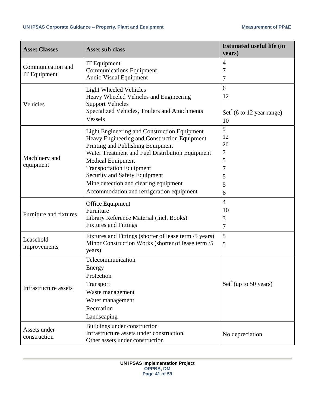| <b>Asset Classes</b>   | <b>Asset sub class</b>                                                    | <b>Estimated useful life (in</b><br>years)   |
|------------------------|---------------------------------------------------------------------------|----------------------------------------------|
| Communication and      | IT Equipment                                                              | $\overline{4}$                               |
| IT Equipment           | <b>Communications Equipment</b>                                           | 7                                            |
|                        | <b>Audio Visual Equipment</b>                                             | 7                                            |
|                        | <b>Light Wheeled Vehicles</b>                                             | 6                                            |
|                        | Heavy Wheeled Vehicles and Engineering                                    | 12                                           |
| Vehicles               | <b>Support Vehicles</b><br>Specialized Vehicles, Trailers and Attachments |                                              |
|                        | <b>Vessels</b>                                                            | $Set^*(6 \text{ to } 12 \text{ year range})$ |
|                        |                                                                           | 10                                           |
|                        | Light Engineering and Construction Equipment                              | 5                                            |
|                        | Heavy Engineering and Construction Equipment                              | 12                                           |
|                        | Printing and Publishing Equipment                                         | 20                                           |
| Machinery and          | Water Treatment and Fuel Distribution Equipment                           | 7                                            |
| equipment              | <b>Medical Equipment</b><br><b>Transportation Equipment</b>               | 5<br>7                                       |
|                        | Security and Safety Equipment                                             | 5                                            |
|                        | Mine detection and clearing equipment                                     | 5                                            |
|                        | Accommodation and refrigeration equipment                                 | 6                                            |
|                        |                                                                           |                                              |
|                        | Office Equipment                                                          | $\overline{4}$                               |
| Furniture and fixtures | Furniture                                                                 | 10                                           |
|                        | Library Reference Material (incl. Books)                                  | 3                                            |
|                        | <b>Fixtures and Fittings</b>                                              | 7                                            |
| Leasehold              | Fixtures and Fittings (shorter of lease term /5 years)                    | 5                                            |
| improvements           | Minor Construction Works (shorter of lease term /5                        | 5                                            |
|                        | years)                                                                    |                                              |
|                        | Telecommunication                                                         |                                              |
|                        | Energy                                                                    |                                              |
|                        | Protection                                                                |                                              |
| Infrastructure assets  | Transport                                                                 | $Set^{\text{T}}$ (up to 50 years)            |
|                        | Waste management                                                          |                                              |
|                        | Water management                                                          |                                              |
|                        | Recreation                                                                |                                              |
|                        | Landscaping                                                               |                                              |
| Assets under           | Buildings under construction                                              |                                              |
| construction           | Infrastructure assets under construction                                  | No depreciation                              |
|                        | Other assets under construction                                           |                                              |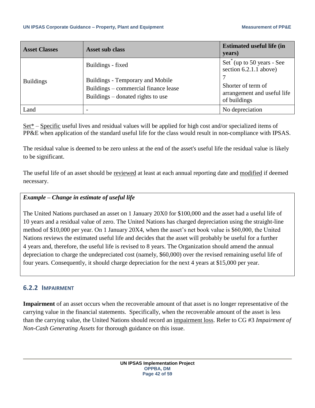#### **UN IPSAS Corporate Guidance – Property, Plant and Equipment Measurement of PP&E**

| <b>Asset Classes</b> | Asset sub class                                                                                               | <b>Estimated useful life (in</b><br>years)                        |
|----------------------|---------------------------------------------------------------------------------------------------------------|-------------------------------------------------------------------|
|                      | Buildings - fixed                                                                                             | $Set^*(up to 50 years - See)$<br>section $6.2.1.1$ above)         |
| <b>Buildings</b>     | Buildings - Temporary and Mobile<br>Buildings – commercial finance lease<br>Buildings – donated rights to use | Shorter of term of<br>arrangement and useful life<br>of buildings |
| Land                 |                                                                                                               | No depreciation                                                   |

Set\* – Specific useful lives and residual values will be applied for high cost and/or specialized items of PP&E when application of the standard useful life for the class would result in non-compliance with IPSAS.

The residual value is deemed to be zero unless at the end of the asset's useful life the residual value is likely to be significant.

The useful life of an asset should be reviewed at least at each annual reporting date and modified if deemed necessary.

### *Example – Change in estimate of useful life*

The United Nations purchased an asset on 1 January 20X0 for \$100,000 and the asset had a useful life of 10 years and a residual value of zero. The United Nations has charged depreciation using the straight-line method of \$10,000 per year. On 1 January 20X4, when the asset's net book value is \$60,000, the United Nations reviews the estimated useful life and decides that the asset will probably be useful for a further 4 years and, therefore, the useful life is revised to 8 years. The Organization should amend the annual depreciation to charge the undepreciated cost (namely, \$60,000) over the revised remaining useful life of four years. Consequently, it should charge depreciation for the next 4 years at \$15,000 per year.

### <span id="page-41-0"></span>**6.2.2 IMPAIRMENT**

**Impairment** of an asset occurs when the recoverable amount of that asset is no longer representative of the carrying value in the financial statements. Specifically, when the recoverable amount of the asset is less than the carrying value, the United Nations should record an impairment loss. Refer to CG #3 *Impairment of Non-Cash Generating Assets* for thorough guidance on this issue.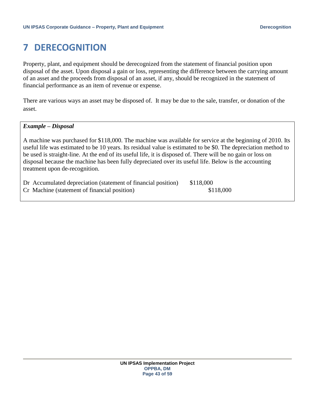### <span id="page-42-0"></span>**7 DERECOGNITION**

Property, plant, and equipment should be derecognized from the statement of financial position upon disposal of the asset. Upon disposal a gain or loss, representing the difference between the carrying amount of an asset and the proceeds from disposal of an asset, if any, should be recognized in the statement of financial performance as an item of revenue or expense.

There are various ways an asset may be disposed of. It may be due to the sale, transfer, or donation of the asset.

#### *Example – Disposal*

A machine was purchased for \$118,000. The machine was available for service at the beginning of 2010. Its useful life was estimated to be 10 years. Its residual value is estimated to be \$0. The depreciation method to be used is straight-line. At the end of its useful life, it is disposed of. There will be no gain or loss on disposal because the machine has been fully depreciated over its useful life. Below is the accounting treatment upon de-recognition.

Dr Accumulated depreciation (statement of financial position) \$118,000 Cr Machine (statement of financial position) \$118,000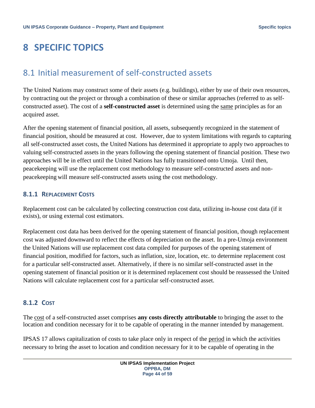## <span id="page-43-0"></span>**8 SPECIFIC TOPICS**

### <span id="page-43-1"></span>8.1 Initial measurement of self-constructed assets

The United Nations may construct some of their assets (e.g. buildings), either by use of their own resources, by contracting out the project or through a combination of these or similar approaches (referred to as selfconstructed asset). The cost of a **self-constructed asset** is determined using the same principles as for an acquired asset.

After the opening statement of financial position, all assets, subsequently recognized in the statement of financial position, should be measured at cost. However, due to system limitations with regards to capturing all self-constructed asset costs, the United Nations has determined it appropriate to apply two approaches to valuing self-constructed assets in the years following the opening statement of financial position. These two approaches will be in effect until the United Nations has fully transitioned onto Umoja. Until then, peacekeeping will use the replacement cost methodology to measure self-constructed assets and nonpeacekeeping will measure self-constructed assets using the cost methodology.

### <span id="page-43-2"></span>**8.1.1 REPLACEMENT COSTS**

Replacement cost can be calculated by collecting construction cost data, utilizing in-house cost data (if it exists), or using external cost estimators.

Replacement cost data has been derived for the opening statement of financial position, though replacement cost was adjusted downward to reflect the effects of depreciation on the asset. In a pre-Umoja environment the United Nations will use replacement cost data compiled for purposes of the opening statement of financial position, modified for factors, such as inflation, size, location, etc. to determine replacement cost for a particular self-constructed asset. Alternatively, if there is no similar self-constructed asset in the opening statement of financial position or it is determined replacement cost should be reassessed the United Nations will calculate replacement cost for a particular self-constructed asset.

### <span id="page-43-3"></span>**8.1.2 COST**

The cost of a self-constructed asset comprises **any costs directly attributable** to bringing the asset to the location and condition necessary for it to be capable of operating in the manner intended by management.

IPSAS 17 allows capitalization of costs to take place only in respect of the period in which the activities necessary to bring the asset to location and condition necessary for it to be capable of operating in the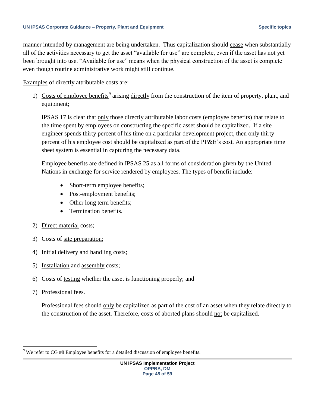#### UN IPSAS Corporate Guidance – Property, Plant and Equipment **Section 2018** Specific topics

manner intended by management are being undertaken. Thus capitalization should cease when substantially all of the activities necessary to get the asset "available for use" are complete, even if the asset has not yet been brought into use. "Available for use" means when the physical construction of the asset is complete even though routine administrative work might still continue.

Examples of directly attributable costs are:

1) Costs of employee benefits<sup>9</sup> arising directly from the construction of the item of property, plant, and equipment;

IPSAS 17 is clear that only those directly attributable labor costs (employee benefits) that relate to the time spent by employees on constructing the specific asset should be capitalized. If a site engineer spends thirty percent of his time on a particular development project, then only thirty percent of his employee cost should be capitalized as part of the PP&E's cost. An appropriate time sheet system is essential in capturing the necessary data.

Employee benefits are defined in IPSAS 25 as all forms of consideration given by the United Nations in exchange for service rendered by employees. The types of benefit include:

- Short-term employee benefits;
- Post-employment benefits;
- Other long term benefits;
- Termination benefits.
- 2) Direct material costs;
- 3) Costs of site preparation;
- 4) Initial delivery and handling costs;
- 5) Installation and assembly costs;
- 6) Costs of testing whether the asset is functioning properly; and
- 7) Professional fees.

 $\overline{a}$ 

Professional fees should only be capitalized as part of the cost of an asset when they relate directly to the construction of the asset. Therefore, costs of aborted plans should not be capitalized.

We refer to CG #8 Employee benefits for a detailed discussion of employee benefits.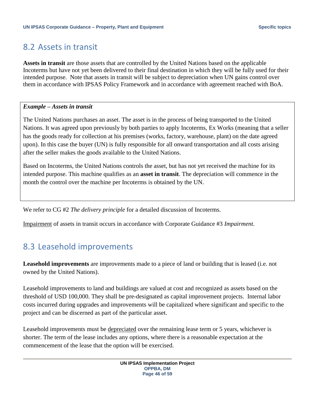### <span id="page-45-0"></span>8.2 Assets in transit

**Assets in transit** are those assets that are controlled by the United Nations based on the applicable Incoterms but have not yet been delivered to their final destination in which they will be fully used for their intended purpose. Note that assets in transit will be subject to depreciation when UN gains control over them in accordance with IPSAS Policy Framework and in accordance with agreement reached with BoA.

### *Example – Assets in transit*

The United Nations purchases an asset. The asset is in the process of being transported to the United Nations. It was agreed upon previously by both parties to apply Incoterms, Ex Works (meaning that a seller has the goods ready for collection at his premises (works, factory, warehouse, plant) on the date agreed upon). In this case the buyer (UN) is fully responsible for all onward transportation and all costs arising after the seller makes the goods available to the United Nations.

Based on Incoterms, the United Nations controls the asset, but has not yet received the machine for its intended purpose. This machine qualifies as an **asset in transit**. The depreciation will commence in the month the control over the machine per Incoterms is obtained by the UN.

We refer to CG #2 *The delivery principle* for a detailed discussion of Incoterms.

Impairment of assets in transit occurs in accordance with Corporate Guidance #3 *Impairment*.

### <span id="page-45-1"></span>8.3 Leasehold improvements

**Leasehold improvements** are improvements made to a piece of land or building that is leased (i.e. not owned by the United Nations).

Leasehold improvements to land and buildings are valued at cost and recognized as assets based on the threshold of USD 100,000. They shall be pre-designated as capital improvement projects. Internal labor costs incurred during upgrades and improvements will be capitalized where significant and specific to the project and can be discerned as part of the particular asset.

Leasehold improvements must be depreciated over the remaining lease term or 5 years, whichever is shorter. The term of the lease includes any options, where there is a reasonable expectation at the commencement of the lease that the option will be exercised.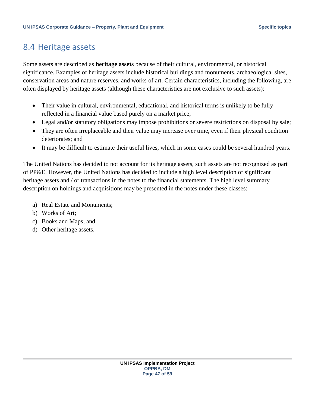### <span id="page-46-0"></span>8.4 Heritage assets

Some assets are described as **heritage assets** because of their cultural, environmental, or historical significance. Examples of heritage assets include historical buildings and monuments, archaeological sites, conservation areas and nature reserves, and works of art. Certain characteristics, including the following, are often displayed by heritage assets (although these characteristics are not exclusive to such assets):

- Their value in cultural, environmental, educational, and historical terms is unlikely to be fully reflected in a financial value based purely on a market price;
- Legal and/or statutory obligations may impose prohibitions or severe restrictions on disposal by sale;
- They are often irreplaceable and their value may increase over time, even if their physical condition deteriorates; and
- It may be difficult to estimate their useful lives, which in some cases could be several hundred years.

The United Nations has decided to not account for its heritage assets, such assets are not recognized as part of PP&E. However, the United Nations has decided to include a high level description of significant heritage assets and / or transactions in the notes to the financial statements. The high level summary description on holdings and acquisitions may be presented in the notes under these classes:

- a) Real Estate and Monuments;
- b) Works of Art;
- c) Books and Maps; and
- d) Other heritage assets.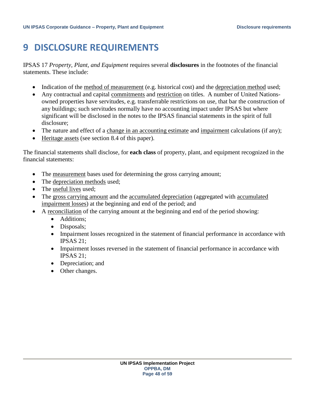### <span id="page-47-0"></span>**9 DISCLOSURE REQUIREMENTS**

IPSAS 17 *Property, Plant, and Equipment* requires several **disclosures** in the footnotes of the financial statements. These include:

- Indication of the method of measurement (e.g. historical cost) and the depreciation method used;
- Any contractual and capital commitments and restriction on titles. A number of United Nationsowned properties have servitudes, e.g. transferrable restrictions on use, that bar the construction of any buildings; such servitudes normally have no accounting impact under IPSAS but where significant will be disclosed in the notes to the IPSAS financial statements in the spirit of full disclosure;
- The nature and effect of a change in an accounting estimate and impairment calculations (if any);
- Heritage assets (see section 8.4 of this paper).

The financial statements shall disclose, for **each class** of property, plant, and equipment recognized in the financial statements:

- The measurement bases used for determining the gross carrying amount;
- The depreciation methods used;
- The useful lives used;
- The gross carrying amount and the accumulated depreciation (aggregated with accumulated impairment losses) at the beginning and end of the period; and
- A reconciliation of the carrying amount at the beginning and end of the period showing:
	- Additions:
	- Disposals;
	- Impairment losses recognized in the statement of financial performance in accordance with IPSAS 21;
	- Impairment losses reversed in the statement of financial performance in accordance with IPSAS 21;
	- Depreciation; and
	- Other changes.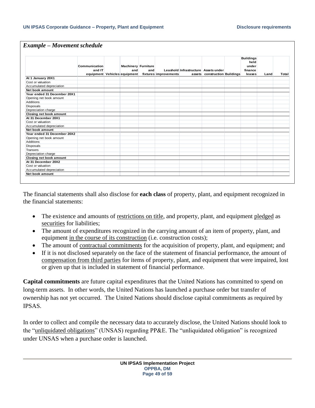#### *Example – Movement schedule*

|                                | Communication<br>and IT      | <b>Machinery Furniture</b><br>and | and |                       | Leashold Infrastructure Assets under |                               | <b>Buildings</b><br>held<br>under<br>finance |      |       |
|--------------------------------|------------------------------|-----------------------------------|-----|-----------------------|--------------------------------------|-------------------------------|----------------------------------------------|------|-------|
|                                | equipment Vehicles equipment |                                   |     | fixtures improvements |                                      | assets construction Buildings | leases                                       | Land | Total |
| At 1 January 20X1              |                              |                                   |     |                       |                                      |                               |                                              |      |       |
| Cost or valuation              |                              |                                   |     |                       |                                      |                               |                                              |      |       |
| Accumulated depreciation       |                              |                                   |     |                       |                                      |                               |                                              |      |       |
| Net book amount                |                              |                                   |     |                       |                                      |                               |                                              |      |       |
| Year ended 31 December 20X1    |                              |                                   |     |                       |                                      |                               |                                              |      |       |
| Opening net book amount        |                              |                                   |     |                       |                                      |                               |                                              |      |       |
| <b>Additions</b>               |                              |                                   |     |                       |                                      |                               |                                              |      |       |
| Disposals                      |                              |                                   |     |                       |                                      |                               |                                              |      |       |
| Depreciation charge            |                              |                                   |     |                       |                                      |                               |                                              |      |       |
| <b>Closing net book amount</b> |                              |                                   |     |                       |                                      |                               |                                              |      |       |
| At 31 December 20X1            |                              |                                   |     |                       |                                      |                               |                                              |      |       |
| Cost or valuation              |                              |                                   |     |                       |                                      |                               |                                              |      |       |
| Accumulated depreciation       |                              |                                   |     |                       |                                      |                               |                                              |      |       |
| Net book amount                |                              |                                   |     |                       |                                      |                               |                                              |      |       |
| Year ended 31 December 20X2    |                              |                                   |     |                       |                                      |                               |                                              |      |       |
| Opening net book amount        |                              |                                   |     |                       |                                      |                               |                                              |      |       |
| <b>Additions</b>               |                              |                                   |     |                       |                                      |                               |                                              |      |       |
| Disposals                      |                              |                                   |     |                       |                                      |                               |                                              |      |       |
| <b>Transers</b>                |                              |                                   |     |                       |                                      |                               |                                              |      |       |
| Depreciation charge            |                              |                                   |     |                       |                                      |                               |                                              |      |       |
| <b>Closing net book amount</b> |                              |                                   |     |                       |                                      |                               |                                              |      |       |
| At 31 December 20X2            |                              |                                   |     |                       |                                      |                               |                                              |      |       |
| Cost or valuation              |                              |                                   |     |                       |                                      |                               |                                              |      |       |
| Accumulated depreciation       |                              |                                   |     |                       |                                      |                               |                                              |      |       |
| Net book amount                |                              |                                   |     |                       |                                      |                               |                                              |      |       |

The financial statements shall also disclose for **each class** of property, plant, and equipment recognized in the financial statements:

- The existence and amounts of restrictions on title, and property, plant, and equipment pledged as securities for liabilities;
- The amount of expenditures recognized in the carrying amount of an item of property, plant, and equipment in the course of its construction (i.e. construction costs);
- The amount of contractual commitments for the acquisition of property, plant, and equipment; and
- If it is not disclosed separately on the face of the statement of financial performance, the amount of compensation from third parties for items of property, plant, and equipment that were impaired, lost or given up that is included in statement of financial performance.

**Capital commitments** are future capital expenditures that the United Nations has committed to spend on long-term assets. In other words, the United Nations has launched a purchase order but transfer of ownership has not yet occurred. The United Nations should disclose capital commitments as required by IPSAS.

In order to collect and compile the necessary data to accurately disclose, the United Nations should look to the "unliquidated obligations" (UNSAS) regarding PP&E. The "unliquidated obligation" is recognized under UNSAS when a purchase order is launched.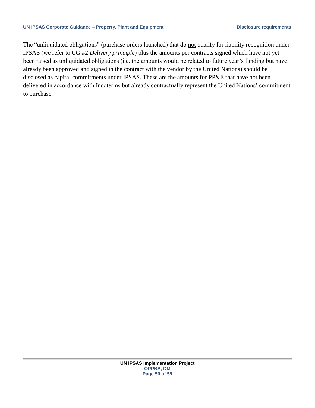The "unliquidated obligations" (purchase orders launched) that do not qualify for liability recognition under IPSAS (we refer to CG #2 *Delivery principle*) plus the amounts per contracts signed which have not yet been raised as unliquidated obligations (i.e. the amounts would be related to future year's funding but have already been approved and signed in the contract with the vendor by the United Nations) should be disclosed as capital commitments under IPSAS. These are the amounts for PP&E that have not been delivered in accordance with Incoterms but already contractually represent the United Nations' commitment to purchase.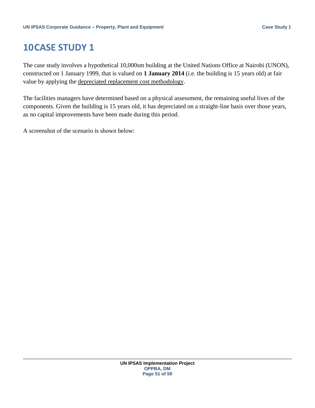### <span id="page-50-0"></span>**10CASE STUDY 1**

The case study involves a hypothetical 10,000sm building at the United Nations Office at Nairobi (UNON), constructed on 1 January 1999, that is valued on **1 January 2014** (i.e. the building is 15 years old) at fair value by applying the depreciated replacement cost methodology.

The facilities managers have determined based on a physical assessment, the remaining useful lives of the components. Given the building is 15 years old, it has depreciated on a straight-line basis over those years, as no capital improvements have been made during this period.

A screenshot of the scenario is shown below: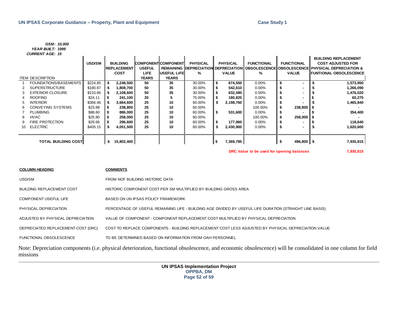#### *GSM: 10,000 YEAR BUILT: 1999*

#### *CURRENT AGE: 15*

|    | <i><b>UURRENI AGE: 13</b></i> |               |    |                    |               |                            |                                             |     |                 |                   |    |                   |                                                                    |
|----|-------------------------------|---------------|----|--------------------|---------------|----------------------------|---------------------------------------------|-----|-----------------|-------------------|----|-------------------|--------------------------------------------------------------------|
|    |                               |               |    |                    |               |                            |                                             |     |                 |                   |    |                   | <b>BUILDING REPLACEMENT</b>                                        |
|    |                               | <b>USD/SM</b> |    | <b>BUILDING</b>    |               | <b>COMPONENT COMPONENT</b> | <b>PHYSICAL</b>                             |     | <b>PHYSICAL</b> | <b>FUNCTIONAL</b> |    | <b>FUNCTIONAL</b> | <b>COST ADJUSTED FOR</b>                                           |
|    |                               |               |    | <b>REPLACEMENT</b> | <b>USEFUL</b> |                            | <b>REMAINING IDEPRECIATION DEPRECIATION</b> |     |                 |                   |    |                   | <b>II OBSOLESCENCEIIOBSOLESCENCEII PHYSICAL DEPRECIATION &amp;</b> |
|    |                               |               |    | <b>COST</b>        | <b>LIFE</b>   | <b>USEFUL LIFEL</b>        | %                                           |     | <b>VALUE</b>    | ℅                 |    | <b>VALUE</b>      | FUNTIONAL OBSOLESCENCE                                             |
|    | <b>ITEM DESCRIPTION</b>       |               |    |                    | YEARS         | <b>YEARS</b>               |                                             |     |                 |                   |    |                   |                                                                    |
|    | FOUNDATIONS/BASEMENTS         | \$224.85      | \$ | 2,248,500          | 50            | 35                         | 30.00%                                      | S   | 674,550         | $0.00\%$          | \$ | ۰                 | 1,573,950                                                          |
|    | <b>SUPERSTRUCTURE</b>         | \$180.87      | S  | 1,808,700          | 50            | 35                         | 30.00%                                      |     | 542,610         | $0.00\%$          |    | ۰                 | 1,266,090                                                          |
| 3  | <b>EXTERIOR CLOSURE</b>       | \$210.86      |    | 2,108,600          | 50            | 35                         | 30.00%                                      |     | 632,580         | $0.00\%$          |    | ۰                 | 1,476,020                                                          |
| 4  | <b>ROOFING</b>                | \$24.11       |    | 241,100            | 20            |                            | 75.00%                                      |     | 180,825         | $0.00\%$          |    |                   | 60,275                                                             |
| 5. | <b>INTERIOR</b>               | \$366.46      |    | 3,664,600          | 25            | 10                         | 60.00%                                      |     | 2,198,760       | $0.00\%$          |    |                   | 1,465,840                                                          |
| 6. | CONVEYING SYSTEMS             | \$23.88       |    | 238,800            | 25            | 10                         | 60.00%                                      |     |                 | 100.00%           | S  | 238,800 \$        |                                                                    |
|    | <b>PLUMBING</b>               | \$88.60       |    | 886,000            | 25            | 10                         | 60.00%                                      | -5  | 531,600         | $0.00\%$          |    |                   | 354,400                                                            |
| 8. | <b>HVAC</b>                   | \$25.80       |    | 258,000            | 25            | 10                         | 60.00%                                      |     |                 | 100.00%           |    | 258,000           |                                                                    |
|    | FIRE PROTECTION               | \$29.66       |    | 296,600            | 25            | 10                         | 60.00%                                      |     | 177,960         | $0.00\%$          |    |                   | 118,640                                                            |
| 10 | <b>ELECTRIC</b>               | \$405.15      |    | 4,051,500          | 25            | 10                         | 60.00%                                      |     | 2,430,900       | $0.00\%$          |    | ۰                 | 1,620,600                                                          |
|    |                               |               |    |                    |               |                            |                                             |     |                 |                   |    |                   |                                                                    |
|    |                               |               |    |                    |               |                            |                                             |     |                 |                   |    |                   |                                                                    |
|    | <b>TOTAL BUILDING COSTI</b>   |               | \$ | 15,802,400         |               |                            |                                             | ∣\$ | 7,369,785       |                   |    | 496,800 \$        | 7,935,815                                                          |

**DRC Value to be used for opening balances 7,935,815**

| <b>COLUMN HEADING</b>              | <b>COMMENTS</b>                                                                                                                                              |
|------------------------------------|--------------------------------------------------------------------------------------------------------------------------------------------------------------|
| USD/SM                             | FROM NOF BUILDING HISTORIC DATA                                                                                                                              |
| <b>BUILDING REPLACEMENT COST</b>   | HISTORIC COMPONENT COST PER SM MULTIPLIED BY BUILDING GROSS AREA                                                                                             |
| COMPONENT USEFUL LIFE              | BASED ON UN IPSAS POLICY FRAMEWORK                                                                                                                           |
| PHYSICAL DEPRECIATION              | PERCENTAGE OF USEFUL REMAINING LIFE - BUILDING AGE DIVIDED BY USEFUL LIFE DURATION (STRAIGHT LINE BASIS)                                                     |
| ADJUSTED BY PHYSICAL DEPRECIATION  | VALUE OF COMPONENT - COMPONENT REPLACEMENT COST MULTIPLIED BY PHYSICAL DEPRECIATION                                                                          |
| DEPRECIATED REPLACEMENT COST (DRC) | COST TO REPLACE COMPONENTS - BUILDING REPLACEMENT COST LESS ADJUSTED BY PHYSICAL DEPRECIATION VALUE                                                          |
| FUNCTIONAL OBSOLESCENCE            | TO BE DETERMINED BASED ON INFORMATION FROM OAH PERSONNEL                                                                                                     |
| missions                           | Note: Depreciation components (i.e. physical deterioration, functional obsolescence, and economic obsolescence) will be consolidated in one column for field |

**UN IPSAS Implementation Project OPPBA, DM Page 52 of 59**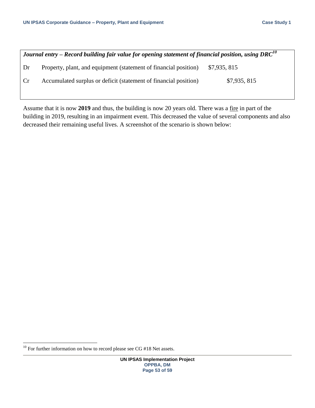| Journal entry – Record building fair value for opening statement of financial position, using DRC <sup>10</sup> |                                                                  |              |  |  |  |  |  |  |
|-----------------------------------------------------------------------------------------------------------------|------------------------------------------------------------------|--------------|--|--|--|--|--|--|
| Dr                                                                                                              | Property, plant, and equipment (statement of financial position) | \$7,935, 815 |  |  |  |  |  |  |
| <b>Cr</b>                                                                                                       | Accumulated surplus or deficit (statement of financial position) | \$7,935,815  |  |  |  |  |  |  |

Assume that it is now **2019** and thus, the building is now 20 years old. There was a fire in part of the building in 2019, resulting in an impairment event. This decreased the value of several components and also decreased their remaining useful lives. A screenshot of the scenario is shown below:

 $\overline{\phantom{a}}$ 

 $10$  For further information on how to record please see CG #18 Net assets.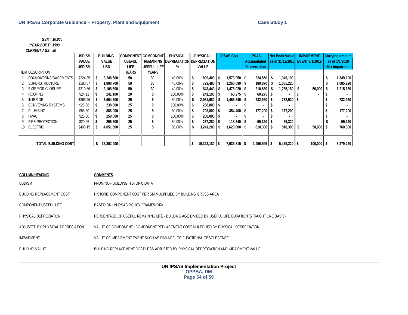### *YEAR BUILT: 1999*

| <b>GSM: 10,000</b>                                                          |               |                                                                                                          |                                                                                       |                            |                                                                                       |      |                 |    |                       |                     |           |                       |                        |       |                        |
|-----------------------------------------------------------------------------|---------------|----------------------------------------------------------------------------------------------------------|---------------------------------------------------------------------------------------|----------------------------|---------------------------------------------------------------------------------------|------|-----------------|----|-----------------------|---------------------|-----------|-----------------------|------------------------|-------|------------------------|
| YEAR BUILT: 1999                                                            |               |                                                                                                          |                                                                                       |                            |                                                                                       |      |                 |    |                       |                     |           |                       |                        |       |                        |
| <b>CURRENT AGE: 20</b>                                                      |               |                                                                                                          |                                                                                       |                            |                                                                                       |      |                 |    |                       |                     |           |                       |                        |       |                        |
|                                                                             | <b>USD/SM</b> | <b>BUILDING</b>                                                                                          |                                                                                       | <b>COMPONENT</b> COMPONENT | <b>PHYSICAL</b>                                                                       |      | <b>PHYSICAL</b> |    | <b>IPSAS Cost</b>     | <b>IPSAS</b>        |           | <b>Net Book Value</b> | <b>IMPAIRMENT</b>      |       | <b>Carrying amount</b> |
|                                                                             | <b>VALUE</b>  | <b>VALUE</b>                                                                                             | <b>USEFUL</b>                                                                         | <b>REMAINING</b>           | <b>DEPRECIATION DEPRECIATION</b>                                                      |      |                 |    |                       | <b>Accumulated</b>  |           | as of 31/12/2018      | <b>EVENT 1/1/2019</b>  |       | as of 1/1/2019         |
|                                                                             | USD/SM        | <b>USD</b>                                                                                               | <b>LIFE</b>                                                                           | USEFUL LIFE                | %                                                                                     |      | <b>VALUE</b>    |    |                       | <b>Depreciation</b> |           |                       |                        |       | after impairment       |
| <b>ITEM DESCRIPTION</b>                                                     |               |                                                                                                          | <b>YEARS</b>                                                                          | <b>YEARS</b>               |                                                                                       |      |                 |    |                       |                     |           |                       |                        |       |                        |
| FOUNDATIONS/BASEMENTS                                                       | \$224.85      | \$<br>2,248,500                                                                                          | 50                                                                                    | 30                         | 40.00%                                                                                | \$   | 899,400         | -S | $1,573,950$ \$        | $224,850$ \$        |           | 1,349,100             |                        |       | 1,349,100              |
| <b>SUPERSTRUCTURE</b><br>2                                                  | \$180.87      | 1,808,700                                                                                                | $1,266,090$ \$<br>$180,870$ \$<br>1,085,220<br>50<br>30<br>40.00%<br>\$<br>723,480 \$ |                            |                                                                                       |      |                 |    |                       |                     |           |                       | 1,085,220              |       |                        |
| <b>EXTERIOR CLOSURE</b><br>3                                                | \$210.86      | 2,108,600<br>\$                                                                                          | 50                                                                                    | 30                         | 40.00%                                                                                | -\$  | 843,440 \$      |    | $1,476,020$ \$        | $210,860$ \$        |           | 1,265,160             | l \$<br>50,000         | li \$ | 1,215,160              |
| <b>ROOFING</b><br>4                                                         | \$24.11       | 241,100<br>\$                                                                                            | 20                                                                                    | $\bf{0}$                   | 100.00%                                                                               | \$   | 241,100 \$      |    | $60,275$ \$           | $60,275$ \$         |           |                       |                        | \$    |                        |
| <b>INTERIOR</b><br>5                                                        | \$366.46      | 3,664,600<br>\$                                                                                          | 25                                                                                    | 5                          | 80.00%                                                                                | \$   | 2,931,680 \$    |    | $1,465,840$ \$        | 732,920 \$          |           | 732,920 \$            |                        | \$    | 732,920                |
| <b>CONVEYING SYSTEMS</b><br>6                                               | \$23.88       | 238,800                                                                                                  | 25                                                                                    | $\mathbf{0}$               | 100.00%                                                                               | \$   | 238,800 \$      |    |                       | l \$                | \$        |                       |                        |       |                        |
| <b>PLUMBING</b><br>7                                                        | \$88.60       | 886,000                                                                                                  | 25                                                                                    | 5                          | 80.00%                                                                                | -\$  | 708,800 \$      |    | 354,400 \$            | 177,200 \$          |           | 177,200               |                        |       | 177,200                |
| <b>HVAC</b><br>8                                                            | \$25.80       | 258,000<br>Ŝ.                                                                                            | 25                                                                                    | 0                          | 100.00%                                                                               | l \$ | 258,000 \$      |    |                       |                     |           |                       |                        |       |                        |
| FIRE PROTECTION<br>9                                                        | \$29.66       | 296,600                                                                                                  | 25                                                                                    | 5                          | 80.00%                                                                                | -\$  | 237,280 \$      |    | 118,640 $\frac{1}{3}$ |                     | 59,320 \$ | 59,320                |                        |       | 59,320                 |
| <b>ELECTRIC</b><br>10                                                       | \$405.15      | 4,051,500<br>\$                                                                                          | 25                                                                                    | 5                          | 80.00%                                                                                | \$   | $3,241,200$ \$  |    | $1,620,600$ \$        | $810,300$ \$        |           | $810,300$ \$          | $50,000$ $\frac{1}{5}$ |       | 760,300                |
|                                                                             |               |                                                                                                          |                                                                                       |                            |                                                                                       |      |                 |    |                       |                     |           |                       |                        |       |                        |
| <b>TOTAL BUILDING COST</b>                                                  |               | s.<br>15,802,400                                                                                         |                                                                                       |                            |                                                                                       | l \$ | 10,323,180 \$   |    | 7,935,815 \$          | $2,456,595$ \$      |           | $5,479,220$ \$        | $100,000$ \$           |       | 5,379,220              |
| <b>COLUMN HEADING</b><br>USD/SM                                             |               | <b>COMMENTS</b><br>FROM NOF BUILDING HISTORIC DATA                                                       |                                                                                       |                            |                                                                                       |      |                 |    |                       |                     |           |                       |                        |       |                        |
| <b>BUILDING REPLACEMENT COST</b>                                            |               | HISTORIC COMPONENT COST PER SM MULTIPLIED BY BUILDING GROSS AREA                                         |                                                                                       |                            |                                                                                       |      |                 |    |                       |                     |           |                       |                        |       |                        |
| <b>COMPONENT USEFUL LIFE</b>                                                |               | BASED ON UN IPSAS POLICY FRAMEWORK                                                                       |                                                                                       |                            |                                                                                       |      |                 |    |                       |                     |           |                       |                        |       |                        |
| PHYSICAL DEPRECIATION                                                       |               | PERCENTAGE OF USEFUL REMAINING LIFE - BUILDING AGE DIVIDED BY USEFUL LIFE DURATION (STRAIGHT LINE BASIS) |                                                                                       |                            |                                                                                       |      |                 |    |                       |                     |           |                       |                        |       |                        |
| ADJUSTED BY PHYSICAL DEPRECIATION                                           |               |                                                                                                          |                                                                                       |                            | VALUE OF COMPONENT - COMPONENT REPLACEMENT COST MULTIPLIED BY PHYSICAL DEPRECIATION   |      |                 |    |                       |                     |           |                       |                        |       |                        |
| <b>IMPAIRMENT</b>                                                           |               |                                                                                                          |                                                                                       |                            | VALUE OF IMPAIRMENT EVENT SUCH AS DAMAGE, OR FUNCTIONAL OBSOLECENSE                   |      |                 |    |                       |                     |           |                       |                        |       |                        |
| <b>BUILDING VALUE</b>                                                       |               |                                                                                                          |                                                                                       |                            | BUILDING REPLACEMENT COST LESS ADJUSTED BY PHYSICAL DEPRECIATION AND IMPAIRMENT VALUE |      |                 |    |                       |                     |           |                       |                        |       |                        |
| <b>UN IPSAS Implementation Project</b><br><b>OPPBA, DM</b><br>Page 54 of 59 |               |                                                                                                          |                                                                                       |                            |                                                                                       |      |                 |    |                       |                     |           |                       |                        |       |                        |

| <b>COLUMN HEADING</b>             | <b>COMMENTS</b>                                                                                          |
|-----------------------------------|----------------------------------------------------------------------------------------------------------|
| USD/SM                            | FROM NOF BUILDING HISTORIC DATA                                                                          |
| <b>BUILDING REPLACEMENT COST</b>  | HISTORIC COMPONENT COST PER SM MULTIPLIED BY BUILDING GROSS AREA                                         |
| <b>COMPONENT USEFUL LIFE</b>      | BASED ON UN IPSAS POLICY FRAMEWORK                                                                       |
| PHYSICAL DEPRECIATION             | PERCENTAGE OF USEFUL REMAINING LIFE - BUILDING AGE DIVIDED BY USEFUL LIFE DURATION (STRAIGHT LINE BASIS) |
| ADJUSTED BY PHYSICAL DEPRECIATION | VALUE OF COMPONENT - COMPONENT REPLACEMENT COST MULTIPLIED BY PHYSICAL DEPRECIATION                      |
| <b>IMPAIRMENT</b>                 | VALUE OF IMPAIRMENT EVENT SUCH AS DAMAGE. OR FUNCTIONAL OBSOLECENSE                                      |
| <b>BUILDING VALUE</b>             | BUILDING REPLACEMENT COST LESS ADJUSTED BY PHYSICAL DEPRECIATION AND IMPAIRMENT VALUE                    |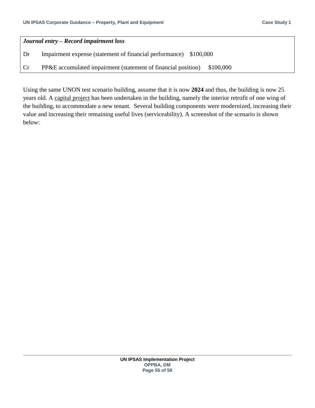| Journal entry – Record impairment loss |                                                                            |  |  |  |  |  |  |  |
|----------------------------------------|----------------------------------------------------------------------------|--|--|--|--|--|--|--|
| Dr                                     | Impairment expense (statement of financial performance) \$100,000          |  |  |  |  |  |  |  |
| Cr                                     | PP&E accumulated impairment (statement of financial position)<br>\$100,000 |  |  |  |  |  |  |  |

Using the same UNON test scenario building, assume that it is now **2024** and thus, the building is now 25 years old. A capital project has been undertaken in the building, namely the interior retrofit of one wing of the building, to accommodate a new tenant. Several building components were modernized, increasing their value and increasing their remaining useful lives (serviceability). A screenshot of the scenario is shown below: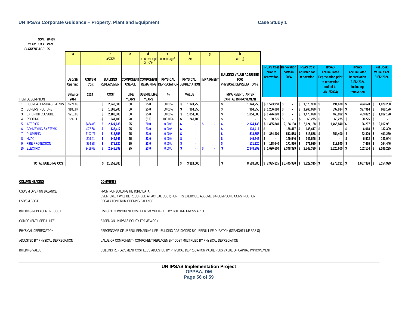#### **UN IPSAS Corporate Guidance – Property, Plant and Equipment Case Study 1**

| <b>UN IPSAS Corporate Guidance - Property, Plant and Equipment</b>                                                                                                                                                                                                                                                       |                                                    |                                                                   |                                                                                                                                                                      |                                                          |                                                                               | <b>Case Study 1</b>                                                                         |                                                                                               |                   |                                                                                                                                   |                                                                                                                                                                                    |                                                                        |                                                                                                                                                                          |                                                                                                                                                         |                                                                                                                                                       |                                                                                                                |
|--------------------------------------------------------------------------------------------------------------------------------------------------------------------------------------------------------------------------------------------------------------------------------------------------------------------------|----------------------------------------------------|-------------------------------------------------------------------|----------------------------------------------------------------------------------------------------------------------------------------------------------------------|----------------------------------------------------------|-------------------------------------------------------------------------------|---------------------------------------------------------------------------------------------|-----------------------------------------------------------------------------------------------|-------------------|-----------------------------------------------------------------------------------------------------------------------------------|------------------------------------------------------------------------------------------------------------------------------------------------------------------------------------|------------------------------------------------------------------------|--------------------------------------------------------------------------------------------------------------------------------------------------------------------------|---------------------------------------------------------------------------------------------------------------------------------------------------------|-------------------------------------------------------------------------------------------------------------------------------------------------------|----------------------------------------------------------------------------------------------------------------|
| GSM: 10,000<br>YEAR BUILT: 1999<br><b>CURRENT AGE: 25</b>                                                                                                                                                                                                                                                                |                                                    |                                                                   |                                                                                                                                                                      |                                                          |                                                                               |                                                                                             |                                                                                               |                   |                                                                                                                                   |                                                                                                                                                                                    |                                                                        |                                                                                                                                                                          |                                                                                                                                                         |                                                                                                                                                       |                                                                                                                |
|                                                                                                                                                                                                                                                                                                                          | a                                                  |                                                                   | $\mathbf b$<br>a*GSM                                                                                                                                                 | $\mathbf{c}$                                             | d<br>c-current age<br>or $c^*e$                                               | e<br>current age/c                                                                          | $a^*e$                                                                                        | g                 | h<br>$a-(f+g)$                                                                                                                    |                                                                                                                                                                                    |                                                                        |                                                                                                                                                                          |                                                                                                                                                         |                                                                                                                                                       |                                                                                                                |
| <b>ITEM DESCRIPTION</b>                                                                                                                                                                                                                                                                                                  | <b>USD/SM</b><br>Opening<br><b>Balance</b><br>2014 | <b>USD/SM</b><br>Cost<br>2024                                     | <b>BUILDING</b><br>REPLACEMENT<br>COST                                                                                                                               | <b>USEFUL</b><br>LIFE<br><b>YEARS</b>                    | <b>COMPONENT COMPONENT</b><br>USEFUL LIFE<br><b>YEARS</b>                     | PHYSICAL<br>%                                                                               | PHYSICAL<br>REMAINING DEPRECIATION DEPRECIATION<br><b>VALUE</b>                               | <b>IMPAIRMENT</b> | <b>BUILDING VALUE ADJUSTED</b><br><b>FOR</b><br>PHYSICAL DEPRECIATION &<br><b>IMPAIRMENT; AFTER</b><br><b>CAPITAL IMPROVEMENT</b> | <b>IPSAS Cost Renovation</b><br>prior to<br>renovation                                                                                                                             | costs in<br>2024                                                       | <b>IPSAS Cost</b><br>adjusted for<br>renovation                                                                                                                          | <b>IPSAS</b><br>Accumulated<br><b>Depreciation prior</b><br>to renovation<br>(rolled to<br>31/12/2024)                                                  | <b>IPSAS</b><br><b>Accumulated</b><br><b>Depreciation</b><br>31/12/2024<br>including<br>renovation                                                    | <b>Net Book</b><br>Value as of<br>31/12/2024                                                                   |
| FOUNDATIONS/BASEMENTS<br><b>SUPERSTRUCTURE</b><br>$\overline{2}$<br><b>EXTERIOR CLOSURE</b><br>3<br><b>ROOFING</b><br>$\overline{4}$<br><b>INTERIOR</b><br>$5^{\circ}$<br><b>CONVEYING SYSTEMS</b><br>$6^{\circ}$<br><b>PLUMBING</b><br>$\overline{7}$<br><b>HVAC</b><br>8<br><b>FIRE PROTECTION</b><br>9<br>10 ELECTRIC | \$224.85<br>\$180.87<br>\$210.86<br>\$24.11        | \$424.83<br>\$27.68<br>\$102.71<br>\$29.91<br>\$34.38<br>\$469.68 | \$<br>2,248,500<br>-S<br>1,808,700<br>\$<br>2,108,600<br>241,100<br>2,124,138<br>138,417<br>513,558<br>149,546<br>171,920<br>2,348,399                               | 50<br>50<br>50<br>20<br>25<br>25<br>25<br>25<br>25<br>25 | 25.0<br>25.0<br>25.0<br>(5.0)<br>20.0<br>23.0<br>23.0<br>23.0<br>23.0<br>23.0 | 50.00%<br>50.00%<br>50.00%<br>100.00%<br>0.00%<br>0.00%<br>0.00%<br>0.00%<br>0.00%<br>0.00% | \$<br>1,124,250<br>904,350<br>S<br>\$<br>1,054,300<br>241,100<br>\$<br>S<br>S<br>S<br>×.<br>S | S                 | 1,124,250<br>S<br>138,417<br>513,558<br>149,546<br>171,920<br>s.<br>2,348,399                                                     | $\frac{1}{2}$ \$ 1,573,950 \$<br>904,350 \$1,266,090<br>1,054,300 \$ 1,476,020 \$<br>\$<br>60,275<br>2,124,138 \$ 1,465,840<br>I\$<br>lls.<br>354,400<br>\$ 118,640<br>\$1,620,600 | I\$<br>$138,417$ \$<br>$513,558$ \$<br>$149,546$ $\sqrt{5}$<br>171,920 | 1,573,950<br>\$<br>1,266,090<br>s.<br>1,476,020<br>s.<br>60,275<br>$2,124,138$ \$ 2,124,138<br>138,417<br>513,558<br>149,546<br>171,920<br>IS.<br>2,348,399 \$ 2,348,399 | 494,670 \$<br>\$<br>$397,914$ \$<br>463,892 \$<br>60,275 \$<br>Ŝ<br>\$<br>$1,465,840$ \$<br>354,400 \$<br>$118,640$ \$<br>l\$<br>$1,620,600$ \$<br>l \$ | 494,670<br>397,914<br>$463,892$ \$<br>$60,275$ \$<br>$106,207$ \$<br>$6,018$ \$<br>$22,329$ \$<br>$6,502$ \$<br>$7,475$ $\frac{1}{5}$<br>$102,104$ \$ | 1,079,280<br>I S<br>868,176<br>1,012,128<br>2,017,931<br>132,399<br>491,230<br>143,044<br>164,446<br>2,246,295 |
| <b>TOTAL BUILDING COST</b>                                                                                                                                                                                                                                                                                               |                                                    |                                                                   | \$11,852,880                                                                                                                                                         |                                                          |                                                                               |                                                                                             | l\$<br>3,324,000                                                                              |                   | ls.                                                                                                                               | 8,528,880 \$7,935,815 \$5,445,980 \$9,822,315 \$                                                                                                                                   |                                                                        |                                                                                                                                                                          | $4,976,231$ \$                                                                                                                                          | 1,667,386 \$                                                                                                                                          | 8,154,929                                                                                                      |
| <b>COLUMN HEADING</b>                                                                                                                                                                                                                                                                                                    |                                                    |                                                                   | <b>COMMENTS</b>                                                                                                                                                      |                                                          |                                                                               |                                                                                             |                                                                                               |                   |                                                                                                                                   |                                                                                                                                                                                    |                                                                        |                                                                                                                                                                          |                                                                                                                                                         |                                                                                                                                                       |                                                                                                                |
| USD/SM OPENING BALANCE<br>USD/SM COST                                                                                                                                                                                                                                                                                    |                                                    |                                                                   | FROM NOF BUILDING HISTORIC DATA<br>EVENTUALLY WILL BE RECORDED AT ACTUAL COST; FOR THIS EXERCISE, ASSUME 3% COMPOUND CONSTRUCTION<br>ESCALATION FROM OPENING BALANCE |                                                          |                                                                               |                                                                                             |                                                                                               |                   |                                                                                                                                   |                                                                                                                                                                                    |                                                                        |                                                                                                                                                                          |                                                                                                                                                         |                                                                                                                                                       |                                                                                                                |
| <b>BUILDING REPLACEMENT COST</b>                                                                                                                                                                                                                                                                                         |                                                    |                                                                   | HISTORIC COMPONENT COST PER SM MULTIPLIED BY BUILDING GROSS AREA                                                                                                     |                                                          |                                                                               |                                                                                             |                                                                                               |                   |                                                                                                                                   |                                                                                                                                                                                    |                                                                        |                                                                                                                                                                          |                                                                                                                                                         |                                                                                                                                                       |                                                                                                                |
| COMPONENT USEFUL LIFE                                                                                                                                                                                                                                                                                                    |                                                    |                                                                   | BASED ON UN IPSAS POLICY FRAMEWORK                                                                                                                                   |                                                          |                                                                               |                                                                                             |                                                                                               |                   |                                                                                                                                   |                                                                                                                                                                                    |                                                                        |                                                                                                                                                                          |                                                                                                                                                         |                                                                                                                                                       |                                                                                                                |
| PHYSICAL DEPRECIATION                                                                                                                                                                                                                                                                                                    |                                                    |                                                                   | PERCENTAGE OF USEFUL REMAINING LIFE - BUILDING AGE DIVIDED BY USEFUL LIFE DURATION (STRAIGHT LINE BASIS)                                                             |                                                          |                                                                               |                                                                                             |                                                                                               |                   |                                                                                                                                   |                                                                                                                                                                                    |                                                                        |                                                                                                                                                                          |                                                                                                                                                         |                                                                                                                                                       |                                                                                                                |
| ADJUSTED BY PHYSICAL DEPRECIATION<br>VALUE OF COMPONENT - COMPONENT REPLACEMENT COST MULTIPLIED BY PHYSICAL DEPRECIATION                                                                                                                                                                                                 |                                                    |                                                                   |                                                                                                                                                                      |                                                          |                                                                               |                                                                                             |                                                                                               |                   |                                                                                                                                   |                                                                                                                                                                                    |                                                                        |                                                                                                                                                                          |                                                                                                                                                         |                                                                                                                                                       |                                                                                                                |
| <b>BUILDING VALUE</b>                                                                                                                                                                                                                                                                                                    |                                                    |                                                                   | BUILDING REPLACEMENT COST LESS ADJUSTED BY PHYSICAL DEPRECIATION VALUE PLUS VALUE OF CAPITAL IMPROVEMENT                                                             |                                                          |                                                                               |                                                                                             |                                                                                               |                   |                                                                                                                                   |                                                                                                                                                                                    |                                                                        |                                                                                                                                                                          |                                                                                                                                                         |                                                                                                                                                       |                                                                                                                |
|                                                                                                                                                                                                                                                                                                                          |                                                    |                                                                   |                                                                                                                                                                      |                                                          |                                                                               |                                                                                             | <b>UN IPSAS Implementation Project</b><br><b>OPPBA, DM</b><br>Page 56 of 59                   |                   |                                                                                                                                   |                                                                                                                                                                                    |                                                                        |                                                                                                                                                                          |                                                                                                                                                         |                                                                                                                                                       |                                                                                                                |

#### **COLUMN HEADING COMMENTS**

| USD/SM OPENING BALANCE<br>USD/SM COST | FROM NOF BUILDING HISTORIC DATA<br>EVENTUALLY WILL BE RECORDED AT ACTUAL COST; FOR THIS EXERCISE, ASSUME 3% COMPOUND CONSTRUCTION<br>ESCALATION FROM OPENING BALANCE |
|---------------------------------------|----------------------------------------------------------------------------------------------------------------------------------------------------------------------|
| <b>BUILDING REPLACEMENT COST</b>      | HISTORIC COMPONENT COST PER SM MULTIPLIED BY BUILDING GROSS AREA                                                                                                     |
| <b>COMPONENT USEFUL LIFE</b>          | BASED ON UN IPSAS POLICY FRAMEWORK                                                                                                                                   |
| PHYSICAL DEPRECIATION                 | PERCENTAGE OF USEFUL REMAINING LIFE - BUILDING AGE DIVIDED BY USEFUL LIFE DURATION (STRAIGHT LINE BASIS)                                                             |
| ADJUSTED BY PHYSICAL DEPRECIATION     | VALUE OF COMPONENT - COMPONENT REPLACEMENT COST MULTIPLIED BY PHYSICAL DEPRECIATION                                                                                  |
| <b>BUILDING VALUE</b>                 | BUILDING REPLACEMENT COST LESS ADJUSTED BY PHYSICAL DEPRECIATION VALUE PLUS VALUE OF CAPITAL IMPROVEMENT                                                             |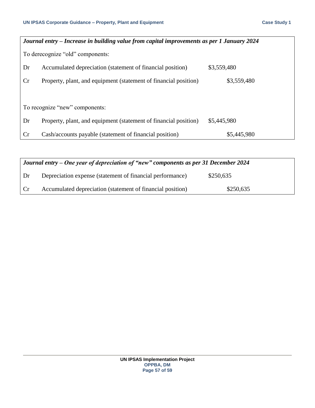| Journal entry – Increase in building value from capital improvements as per 1 January 2024 |                                                                  |             |  |  |  |
|--------------------------------------------------------------------------------------------|------------------------------------------------------------------|-------------|--|--|--|
|                                                                                            | To derecognize "old" components:                                 |             |  |  |  |
| Dr                                                                                         | Accumulated depreciation (statement of financial position)       | \$3,559,480 |  |  |  |
| Cr                                                                                         | Property, plant, and equipment (statement of financial position) | \$3,559,480 |  |  |  |
|                                                                                            |                                                                  |             |  |  |  |
|                                                                                            | To recognize "new" components:                                   |             |  |  |  |
| Dr                                                                                         | Property, plant, and equipment (statement of financial position) | \$5,445,980 |  |  |  |
| Cr                                                                                         | Cash/accounts payable (statement of financial position)          | \$5,445,980 |  |  |  |

| Journal entry – One year of depreciation of "new" components as per 31 December 2024 |                                                            |           |  |  |  |  |
|--------------------------------------------------------------------------------------|------------------------------------------------------------|-----------|--|--|--|--|
| ∟Dr∶                                                                                 | Depreciation expense (statement of financial performance)  | \$250,635 |  |  |  |  |
| Cr                                                                                   | Accumulated depreciation (statement of financial position) | \$250,635 |  |  |  |  |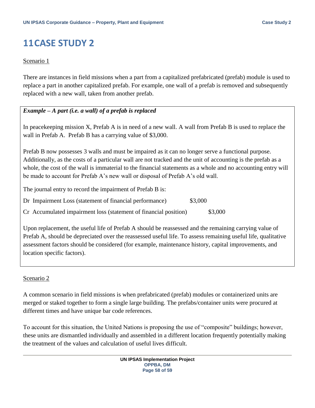### <span id="page-57-0"></span>**11CASE STUDY 2**

#### Scenario 1

There are instances in field missions when a part from a capitalized prefabricated (prefab) module is used to replace a part in another capitalized prefab. For example, one wall of a prefab is removed and subsequently replaced with a new wall, taken from another prefab.

### *Example – A part (i.e. a wall) of a prefab is replaced*

In peacekeeping mission X, Prefab A is in need of a new wall. A wall from Prefab B is used to replace the wall in Prefab A. Prefab B has a carrying value of \$3,000.

Prefab B now possesses 3 walls and must be impaired as it can no longer serve a functional purpose. Additionally, as the costs of a particular wall are not tracked and the unit of accounting is the prefab as a whole, the cost of the wall is immaterial to the financial statements as a whole and no accounting entry will be made to account for Prefab A's new wall or disposal of Prefab A's old wall.

The journal entry to record the impairment of Prefab B is:

Dr Impairment Loss (statement of financial performance) \$3,000

Cr Accumulated impairment loss (statement of financial position) \$3,000

Upon replacement, the useful life of Prefab A should be reassessed and the remaining carrying value of Prefab A, should be depreciated over the reassessed useful life. To assess remaining useful life, qualitative assessment factors should be considered (for example, maintenance history, capital improvements, and location specific factors).

#### Scenario 2

A common scenario in field missions is when prefabricated (prefab) modules or containerized units are merged or staked together to form a single large building. The prefabs/container units were procured at different times and have unique bar code references.

To account for this situation, the United Nations is proposing the use of "composite" buildings; however, these units are dismantled individually and assembled in a different location frequently potentially making the treatment of the values and calculation of useful lives difficult.

> **UN IPSAS Implementation Project OPPBA, DM Page 58 of 59**